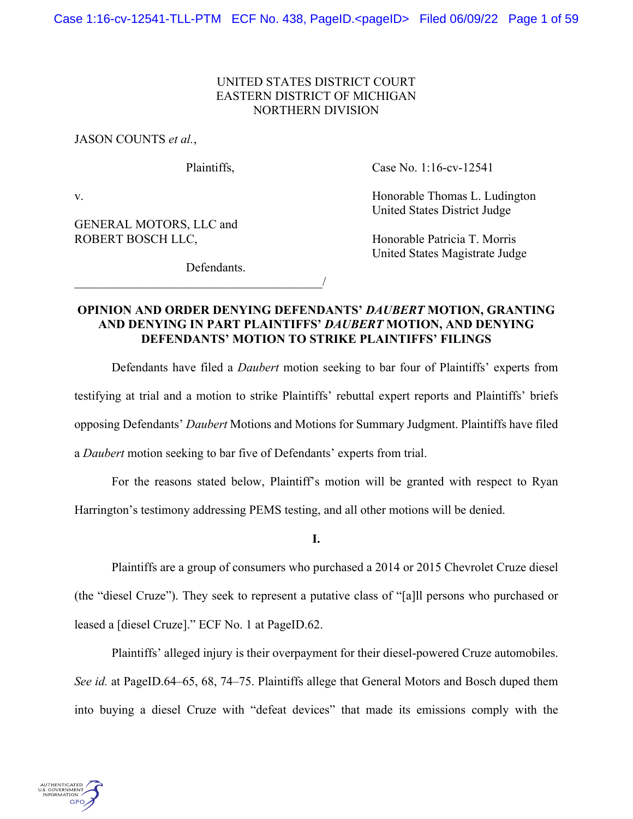# UNITED STATES DISTRICT COURT EASTERN DISTRICT OF MICHIGAN NORTHERN DIVISION

JASON COUNTS *et al.*,

 $\overline{\phantom{a}}$ 

Plaintiffs, Case No. 1:16-cv-12541

United States District Judge

United States Magistrate Judge

v. **Example 2018** V. Honorable Thomas L. Ludington

GENERAL MOTORS, LLC and ROBERT BOSCH LLC, Honorable Patricia T. Morris

Defendants.

# **OPINION AND ORDER DENYING DEFENDANTS'** *DAUBERT* **MOTION, GRANTING AND DENYING IN PART PLAINTIFFS'** *DAUBERT* **MOTION, AND DENYING DEFENDANTS' MOTION TO STRIKE PLAINTIFFS' FILINGS**

 Defendants have filed a *Daubert* motion seeking to bar four of Plaintiffs' experts from testifying at trial and a motion to strike Plaintiffs' rebuttal expert reports and Plaintiffs' briefs opposing Defendants' *Daubert* Motions and Motions for Summary Judgment. Plaintiffs have filed a *Daubert* motion seeking to bar five of Defendants' experts from trial.

For the reasons stated below, Plaintiff's motion will be granted with respect to Ryan Harrington's testimony addressing PEMS testing, and all other motions will be denied.

**I.** 

Plaintiffs are a group of consumers who purchased a 2014 or 2015 Chevrolet Cruze diesel (the "diesel Cruze"). They seek to represent a putative class of "[a]ll persons who purchased or leased a [diesel Cruze]." ECF No. 1 at PageID.62.

Plaintiffs' alleged injury is their overpayment for their diesel-powered Cruze automobiles. *See id.* at PageID.64–65, 68, 74–75. Plaintiffs allege that General Motors and Bosch duped them into buying a diesel Cruze with "defeat devices" that made its emissions comply with the

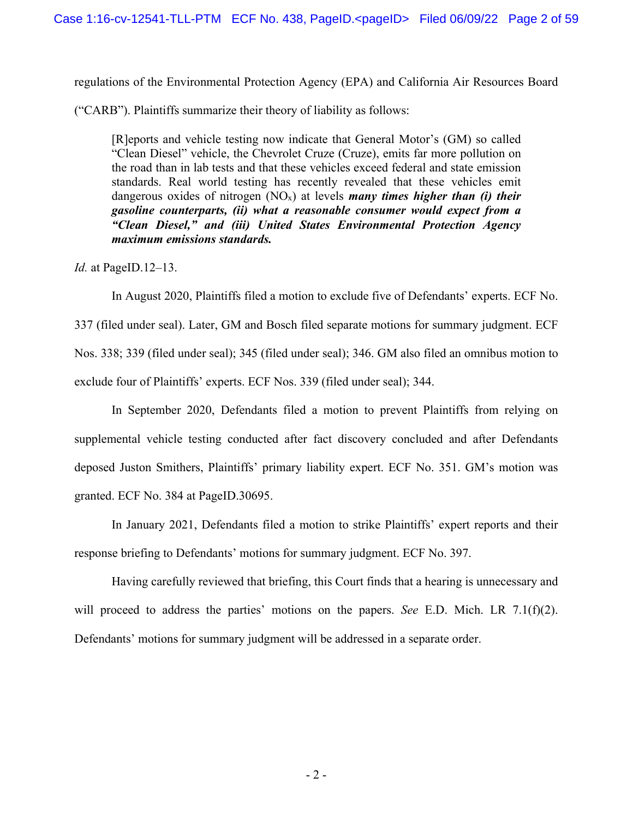regulations of the Environmental Protection Agency (EPA) and California Air Resources Board

("CARB"). Plaintiffs summarize their theory of liability as follows:

[R]eports and vehicle testing now indicate that General Motor's (GM) so called "Clean Diesel" vehicle, the Chevrolet Cruze (Cruze), emits far more pollution on the road than in lab tests and that these vehicles exceed federal and state emission standards. Real world testing has recently revealed that these vehicles emit dangerous oxides of nitrogen (NO<sub>x</sub>) at levels *many times higher than (i) their gasoline counterparts, (ii) what a reasonable consumer would expect from a "Clean Diesel," and (iii) United States Environmental Protection Agency maximum emissions standards.*

*Id.* at PageID.12–13.

 In August 2020, Plaintiffs filed a motion to exclude five of Defendants' experts. ECF No. 337 (filed under seal). Later, GM and Bosch filed separate motions for summary judgment. ECF Nos. 338; 339 (filed under seal); 345 (filed under seal); 346. GM also filed an omnibus motion to exclude four of Plaintiffs' experts. ECF Nos. 339 (filed under seal); 344.

In September 2020, Defendants filed a motion to prevent Plaintiffs from relying on supplemental vehicle testing conducted after fact discovery concluded and after Defendants deposed Juston Smithers, Plaintiffs' primary liability expert. ECF No. 351. GM's motion was granted. ECF No. 384 at PageID.30695.

In January 2021, Defendants filed a motion to strike Plaintiffs' expert reports and their response briefing to Defendants' motions for summary judgment. ECF No. 397.

Having carefully reviewed that briefing, this Court finds that a hearing is unnecessary and will proceed to address the parties' motions on the papers. *See* E.D. Mich. LR 7.1(f)(2). Defendants' motions for summary judgment will be addressed in a separate order.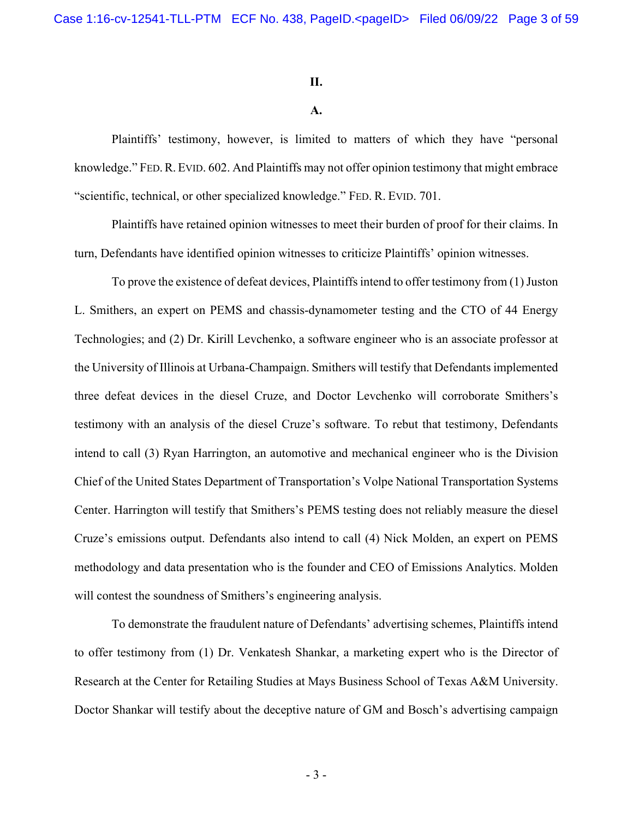### **II.**

## **A.**

Plaintiffs' testimony, however, is limited to matters of which they have "personal knowledge." FED.R.EVID. 602. And Plaintiffs may not offer opinion testimony that might embrace "scientific, technical, or other specialized knowledge." FED. R. EVID. 701.

Plaintiffs have retained opinion witnesses to meet their burden of proof for their claims. In turn, Defendants have identified opinion witnesses to criticize Plaintiffs' opinion witnesses.

To prove the existence of defeat devices, Plaintiffs intend to offer testimony from (1) Juston L. Smithers, an expert on PEMS and chassis-dynamometer testing and the CTO of 44 Energy Technologies; and (2) Dr. Kirill Levchenko, a software engineer who is an associate professor at the University of Illinois at Urbana-Champaign. Smithers will testify that Defendants implemented three defeat devices in the diesel Cruze, and Doctor Levchenko will corroborate Smithers's testimony with an analysis of the diesel Cruze's software. To rebut that testimony, Defendants intend to call (3) Ryan Harrington, an automotive and mechanical engineer who is the Division Chief of the United States Department of Transportation's Volpe National Transportation Systems Center. Harrington will testify that Smithers's PEMS testing does not reliably measure the diesel Cruze's emissions output. Defendants also intend to call (4) Nick Molden, an expert on PEMS methodology and data presentation who is the founder and CEO of Emissions Analytics. Molden will contest the soundness of Smithers's engineering analysis.

To demonstrate the fraudulent nature of Defendants' advertising schemes, Plaintiffs intend to offer testimony from (1) Dr. Venkatesh Shankar, a marketing expert who is the Director of Research at the Center for Retailing Studies at Mays Business School of Texas A&M University. Doctor Shankar will testify about the deceptive nature of GM and Bosch's advertising campaign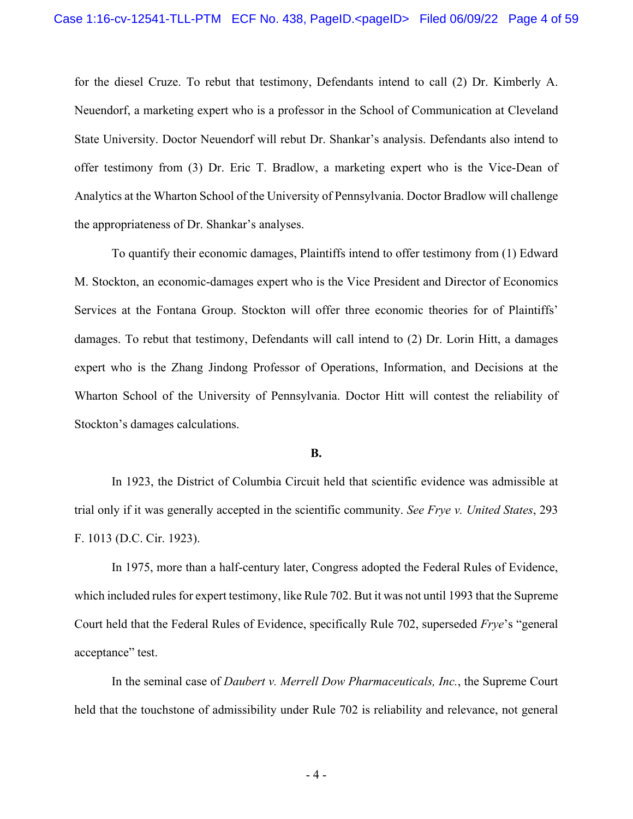for the diesel Cruze. To rebut that testimony, Defendants intend to call (2) Dr. Kimberly A. Neuendorf, a marketing expert who is a professor in the School of Communication at Cleveland State University. Doctor Neuendorf will rebut Dr. Shankar's analysis. Defendants also intend to offer testimony from (3) Dr. Eric T. Bradlow, a marketing expert who is the Vice-Dean of Analytics at the Wharton School of the University of Pennsylvania. Doctor Bradlow will challenge the appropriateness of Dr. Shankar's analyses.

To quantify their economic damages, Plaintiffs intend to offer testimony from (1) Edward M. Stockton, an economic-damages expert who is the Vice President and Director of Economics Services at the Fontana Group. Stockton will offer three economic theories for of Plaintiffs' damages. To rebut that testimony, Defendants will call intend to (2) Dr. Lorin Hitt, a damages expert who is the Zhang Jindong Professor of Operations, Information, and Decisions at the Wharton School of the University of Pennsylvania. Doctor Hitt will contest the reliability of Stockton's damages calculations.

### **B.**

In 1923, the District of Columbia Circuit held that scientific evidence was admissible at trial only if it was generally accepted in the scientific community. *See Frye v. United States*, 293 F. 1013 (D.C. Cir. 1923).

In 1975, more than a half-century later, Congress adopted the Federal Rules of Evidence, which included rules for expert testimony, like Rule 702. But it was not until 1993 that the Supreme Court held that the Federal Rules of Evidence, specifically Rule 702, superseded *Frye*'s "general acceptance" test.

In the seminal case of *Daubert v. Merrell Dow Pharmaceuticals, Inc.*, the Supreme Court held that the touchstone of admissibility under Rule 702 is reliability and relevance, not general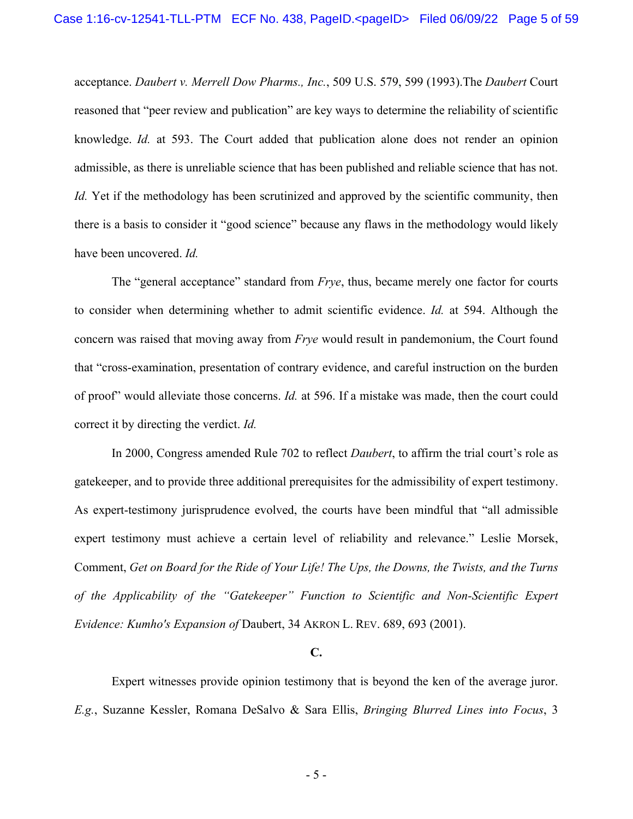acceptance. *Daubert v. Merrell Dow Pharms., Inc.*, 509 U.S. 579, 599 (1993).The *Daubert* Court reasoned that "peer review and publication" are key ways to determine the reliability of scientific knowledge. *Id.* at 593. The Court added that publication alone does not render an opinion admissible, as there is unreliable science that has been published and reliable science that has not. *Id.* Yet if the methodology has been scrutinized and approved by the scientific community, then there is a basis to consider it "good science" because any flaws in the methodology would likely have been uncovered. *Id.*

The "general acceptance" standard from *Frye*, thus, became merely one factor for courts to consider when determining whether to admit scientific evidence. *Id.* at 594. Although the concern was raised that moving away from *Frye* would result in pandemonium, the Court found that "cross-examination, presentation of contrary evidence, and careful instruction on the burden of proof" would alleviate those concerns. *Id.* at 596. If a mistake was made, then the court could correct it by directing the verdict. *Id.*

In 2000, Congress amended Rule 702 to reflect *Daubert*, to affirm the trial court's role as gatekeeper, and to provide three additional prerequisites for the admissibility of expert testimony. As expert-testimony jurisprudence evolved, the courts have been mindful that "all admissible expert testimony must achieve a certain level of reliability and relevance." Leslie Morsek, Comment, *Get on Board for the Ride of Your Life! The Ups, the Downs, the Twists, and the Turns of the Applicability of the "Gatekeeper" Function to Scientific and Non-Scientific Expert Evidence: Kumho's Expansion of* Daubert, 34 AKRON L. REV. 689, 693 (2001).

#### **C.**

Expert witnesses provide opinion testimony that is beyond the ken of the average juror. *E.g.*, Suzanne Kessler, Romana DeSalvo & Sara Ellis, *Bringing Blurred Lines into Focus*, 3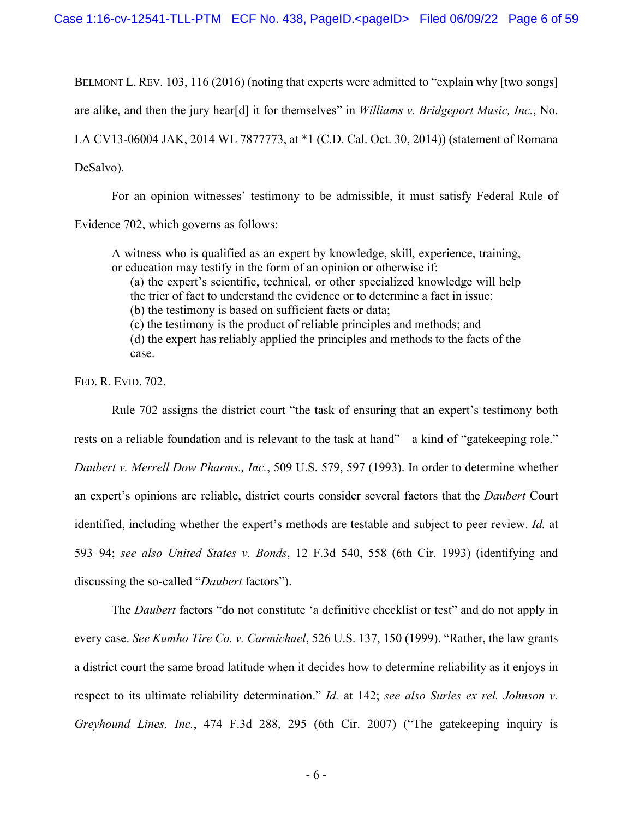BELMONT L. REV. 103, 116 (2016) (noting that experts were admitted to "explain why [two songs] are alike, and then the jury hear[d] it for themselves" in *Williams v. Bridgeport Music, Inc.*, No. LA CV13-06004 JAK, 2014 WL 7877773, at \*1 (C.D. Cal. Oct. 30, 2014)) (statement of Romana DeSalvo).

For an opinion witnesses' testimony to be admissible, it must satisfy Federal Rule of Evidence 702, which governs as follows:

A witness who is qualified as an expert by knowledge, skill, experience, training, or education may testify in the form of an opinion or otherwise if:

(a) the expert's scientific, technical, or other specialized knowledge will help the trier of fact to understand the evidence or to determine a fact in issue;

(b) the testimony is based on sufficient facts or data;

(c) the testimony is the product of reliable principles and methods; and (d) the expert has reliably applied the principles and methods to the facts of the case.

FED. R. EVID. 702.

Rule 702 assigns the district court "the task of ensuring that an expert's testimony both rests on a reliable foundation and is relevant to the task at hand"—a kind of "gatekeeping role." *Daubert v. Merrell Dow Pharms., Inc.*, 509 U.S. 579, 597 (1993). In order to determine whether an expert's opinions are reliable, district courts consider several factors that the *Daubert* Court identified, including whether the expert's methods are testable and subject to peer review. *Id.* at 593–94; *see also United States v. Bonds*, 12 F.3d 540, 558 (6th Cir. 1993) (identifying and discussing the so-called "*Daubert* factors").

The *Daubert* factors "do not constitute 'a definitive checklist or test" and do not apply in every case. *See Kumho Tire Co. v. Carmichael*, 526 U.S. 137, 150 (1999). "Rather, the law grants a district court the same broad latitude when it decides how to determine reliability as it enjoys in respect to its ultimate reliability determination." *Id.* at 142; *see also Surles ex rel. Johnson v. Greyhound Lines, Inc.*, 474 F.3d 288, 295 (6th Cir. 2007) ("The gatekeeping inquiry is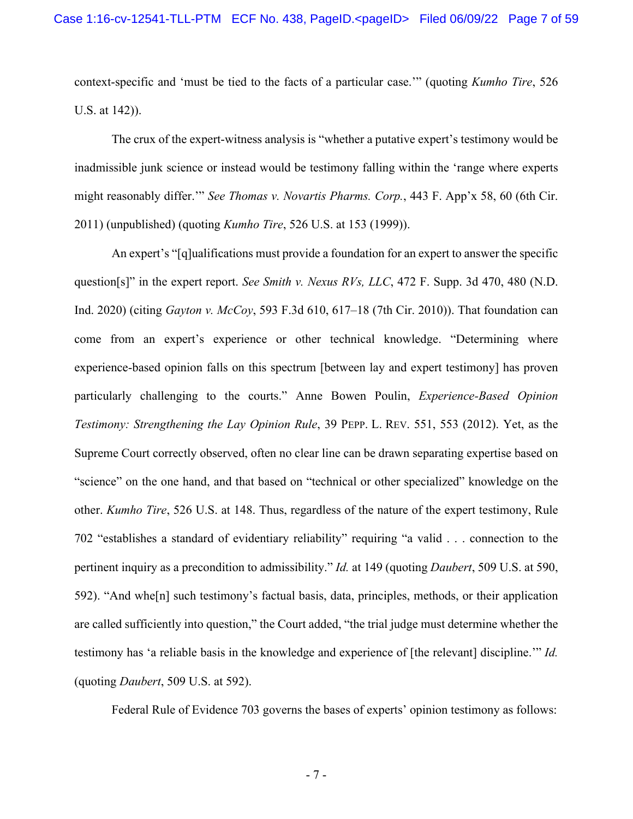context-specific and 'must be tied to the facts of a particular case.'" (quoting *Kumho Tire*, 526 U.S. at 142)).

The crux of the expert-witness analysis is "whether a putative expert's testimony would be inadmissible junk science or instead would be testimony falling within the 'range where experts might reasonably differ.'" *See Thomas v. Novartis Pharms. Corp.*, 443 F. App'x 58, 60 (6th Cir. 2011) (unpublished) (quoting *Kumho Tire*, 526 U.S. at 153 (1999)).

An expert's "[q]ualifications must provide a foundation for an expert to answer the specific question[s]" in the expert report. *See Smith v. Nexus RVs, LLC*, 472 F. Supp. 3d 470, 480 (N.D. Ind. 2020) (citing *Gayton v. McCoy*, 593 F.3d 610, 617–18 (7th Cir. 2010)). That foundation can come from an expert's experience or other technical knowledge. "Determining where experience-based opinion falls on this spectrum [between lay and expert testimony] has proven particularly challenging to the courts." Anne Bowen Poulin, *Experience-Based Opinion Testimony: Strengthening the Lay Opinion Rule*, 39 PEPP. L. REV. 551, 553 (2012). Yet, as the Supreme Court correctly observed, often no clear line can be drawn separating expertise based on "science" on the one hand, and that based on "technical or other specialized" knowledge on the other. *Kumho Tire*, 526 U.S. at 148. Thus, regardless of the nature of the expert testimony, Rule 702 "establishes a standard of evidentiary reliability" requiring "a valid . . . connection to the pertinent inquiry as a precondition to admissibility." *Id.* at 149 (quoting *Daubert*, 509 U.S. at 590, 592). "And whe[n] such testimony's factual basis, data, principles, methods, or their application are called sufficiently into question," the Court added, "the trial judge must determine whether the testimony has 'a reliable basis in the knowledge and experience of [the relevant] discipline.'" *Id.* (quoting *Daubert*, 509 U.S. at 592).

Federal Rule of Evidence 703 governs the bases of experts' opinion testimony as follows: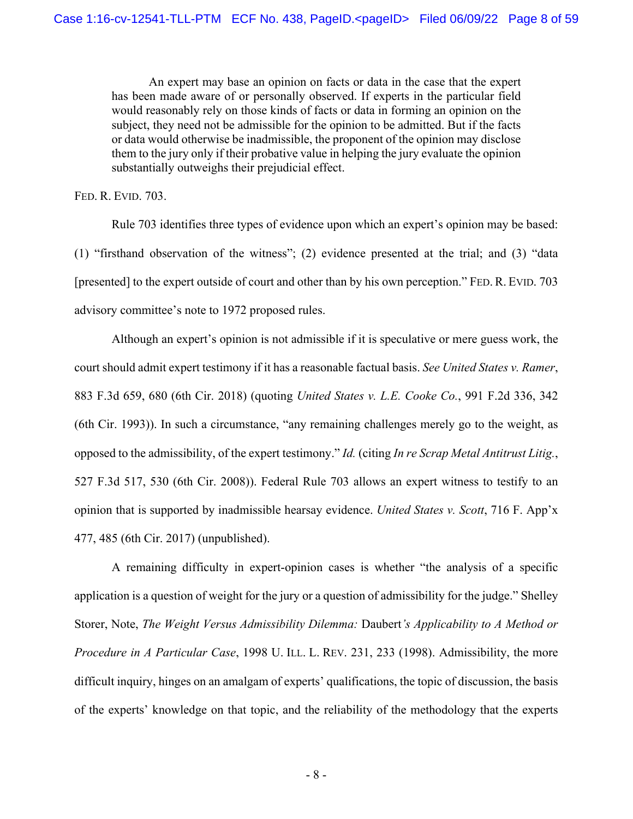An expert may base an opinion on facts or data in the case that the expert has been made aware of or personally observed. If experts in the particular field would reasonably rely on those kinds of facts or data in forming an opinion on the subject, they need not be admissible for the opinion to be admitted. But if the facts or data would otherwise be inadmissible, the proponent of the opinion may disclose them to the jury only if their probative value in helping the jury evaluate the opinion substantially outweighs their prejudicial effect.

FED. R. EVID. 703.

Rule 703 identifies three types of evidence upon which an expert's opinion may be based: (1) "firsthand observation of the witness"; (2) evidence presented at the trial; and (3) "data [presented] to the expert outside of court and other than by his own perception." FED. R. EVID. 703 advisory committee's note to 1972 proposed rules.

Although an expert's opinion is not admissible if it is speculative or mere guess work, the court should admit expert testimony if it has a reasonable factual basis. *See United States v. Ramer*, 883 F.3d 659, 680 (6th Cir. 2018) (quoting *United States v. L.E. Cooke Co.*, 991 F.2d 336, 342 (6th Cir. 1993)). In such a circumstance, "any remaining challenges merely go to the weight, as opposed to the admissibility, of the expert testimony." *Id.* (citing *In re Scrap Metal Antitrust Litig.*, 527 F.3d 517, 530 (6th Cir. 2008)). Federal Rule 703 allows an expert witness to testify to an opinion that is supported by inadmissible hearsay evidence. *United States v. Scott*, 716 F. App'x 477, 485 (6th Cir. 2017) (unpublished).

A remaining difficulty in expert-opinion cases is whether "the analysis of a specific application is a question of weight for the jury or a question of admissibility for the judge." Shelley Storer, Note, *The Weight Versus Admissibility Dilemma:* Daubert*'s Applicability to A Method or Procedure in A Particular Case*, 1998 U. ILL. L. REV. 231, 233 (1998). Admissibility, the more difficult inquiry, hinges on an amalgam of experts' qualifications, the topic of discussion, the basis of the experts' knowledge on that topic, and the reliability of the methodology that the experts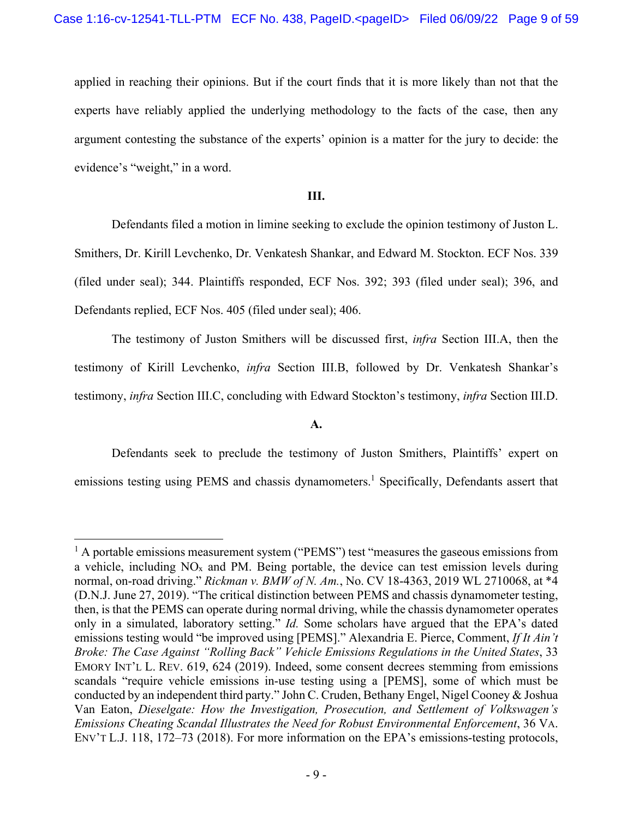applied in reaching their opinions. But if the court finds that it is more likely than not that the experts have reliably applied the underlying methodology to the facts of the case, then any argument contesting the substance of the experts' opinion is a matter for the jury to decide: the evidence's "weight," in a word.

# **III.**

Defendants filed a motion in limine seeking to exclude the opinion testimony of Juston L. Smithers, Dr. Kirill Levchenko, Dr. Venkatesh Shankar, and Edward M. Stockton. ECF Nos. 339 (filed under seal); 344. Plaintiffs responded, ECF Nos. 392; 393 (filed under seal); 396, and Defendants replied, ECF Nos. 405 (filed under seal); 406.

The testimony of Juston Smithers will be discussed first, *infra* Section III.A, then the testimony of Kirill Levchenko, *infra* Section III.B, followed by Dr. Venkatesh Shankar's testimony, *infra* Section III.C, concluding with Edward Stockton's testimony, *infra* Section III.D.

**A.** 

Defendants seek to preclude the testimony of Juston Smithers, Plaintiffs' expert on emissions testing using PEMS and chassis dynamometers.<sup>1</sup> Specifically, Defendants assert that

<sup>&</sup>lt;sup>1</sup> A portable emissions measurement system ("PEMS") test "measures the gaseous emissions from a vehicle, including NOx and PM. Being portable, the device can test emission levels during normal, on-road driving." *Rickman v. BMW of N. Am.*, No. CV 18-4363, 2019 WL 2710068, at \*4 (D.N.J. June 27, 2019). "The critical distinction between PEMS and chassis dynamometer testing, then, is that the PEMS can operate during normal driving, while the chassis dynamometer operates only in a simulated, laboratory setting." *Id.* Some scholars have argued that the EPA's dated emissions testing would "be improved using [PEMS]." Alexandria E. Pierce, Comment, *If It Ain't Broke: The Case Against "Rolling Back" Vehicle Emissions Regulations in the United States*, 33 EMORY INT'L L. REV. 619, 624 (2019). Indeed, some consent decrees stemming from emissions scandals "require vehicle emissions in-use testing using a [PEMS], some of which must be conducted by an independent third party." John C. Cruden, Bethany Engel, Nigel Cooney & Joshua Van Eaton, *Dieselgate: How the Investigation, Prosecution, and Settlement of Volkswagen's Emissions Cheating Scandal Illustrates the Need for Robust Environmental Enforcement*, 36 VA. ENV'T L.J. 118, 172–73 (2018). For more information on the EPA's emissions-testing protocols,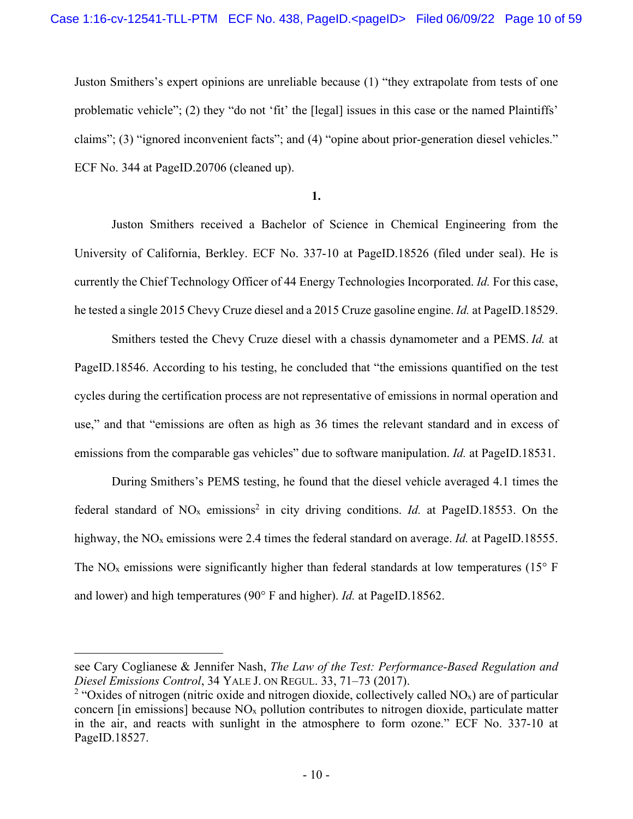Juston Smithers's expert opinions are unreliable because (1) "they extrapolate from tests of one problematic vehicle"; (2) they "do not 'fit' the [legal] issues in this case or the named Plaintiffs' claims"; (3) "ignored inconvenient facts"; and (4) "opine about prior-generation diesel vehicles." ECF No. 344 at PageID.20706 (cleaned up).

**1.** 

Juston Smithers received a Bachelor of Science in Chemical Engineering from the University of California, Berkley. ECF No. 337-10 at PageID.18526 (filed under seal). He is currently the Chief Technology Officer of 44 Energy Technologies Incorporated. *Id.* For this case, he tested a single 2015 Chevy Cruze diesel and a 2015 Cruze gasoline engine. *Id.* at PageID.18529.

Smithers tested the Chevy Cruze diesel with a chassis dynamometer and a PEMS. *Id.* at PageID.18546. According to his testing, he concluded that "the emissions quantified on the test cycles during the certification process are not representative of emissions in normal operation and use," and that "emissions are often as high as 36 times the relevant standard and in excess of emissions from the comparable gas vehicles" due to software manipulation. *Id.* at PageID.18531.

During Smithers's PEMS testing, he found that the diesel vehicle averaged 4.1 times the federal standard of  $NO<sub>x</sub>$  emissions<sup>2</sup> in city driving conditions. *Id.* at PageID.18553. On the highway, the NO<sub>x</sub> emissions were 2.4 times the federal standard on average. *Id.* at PageID.18555. The NO<sub>x</sub> emissions were significantly higher than federal standards at low temperatures (15 $\degree$  F and lower) and high temperatures (90° F and higher). *Id.* at PageID.18562.

see Cary Coglianese & Jennifer Nash, *The Law of the Test: Performance-Based Regulation and Diesel Emissions Control*, 34 YALE J. ON REGUL. 33, 71–73 (2017).

<sup>&</sup>lt;sup>2</sup> "Oxides of nitrogen (nitric oxide and nitrogen dioxide, collectively called NO<sub>x</sub>) are of particular concern [in emissions] because  $NO<sub>x</sub>$  pollution contributes to nitrogen dioxide, particulate matter in the air, and reacts with sunlight in the atmosphere to form ozone." ECF No. 337-10 at PageID.18527.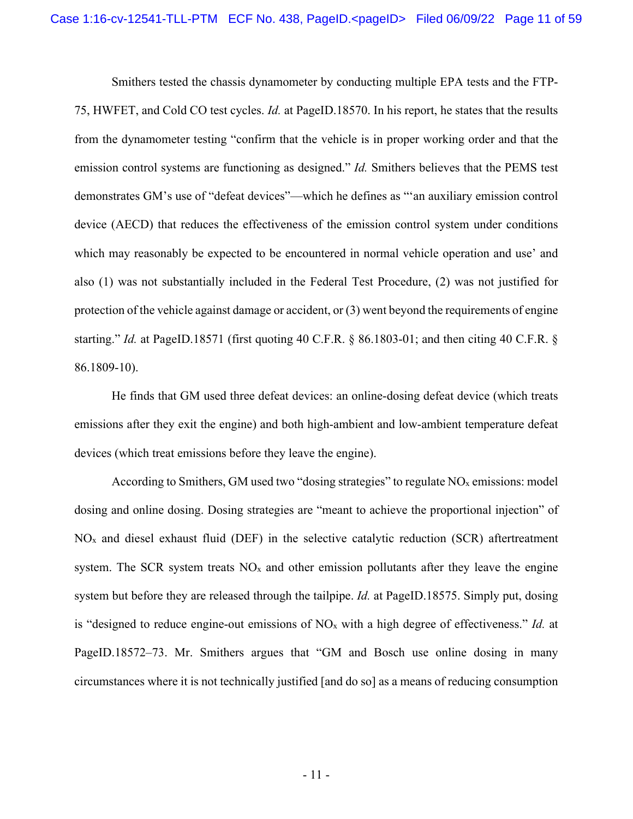Smithers tested the chassis dynamometer by conducting multiple EPA tests and the FTP-75, HWFET, and Cold CO test cycles. *Id.* at PageID.18570. In his report, he states that the results from the dynamometer testing "confirm that the vehicle is in proper working order and that the emission control systems are functioning as designed." *Id.* Smithers believes that the PEMS test demonstrates GM's use of "defeat devices"—which he defines as "'an auxiliary emission control device (AECD) that reduces the effectiveness of the emission control system under conditions which may reasonably be expected to be encountered in normal vehicle operation and use' and also (1) was not substantially included in the Federal Test Procedure, (2) was not justified for protection of the vehicle against damage or accident, or (3) went beyond the requirements of engine starting." *Id.* at PageID.18571 (first quoting 40 C.F.R. § 86.1803-01; and then citing 40 C.F.R. § 86.1809-10).

He finds that GM used three defeat devices: an online-dosing defeat device (which treats emissions after they exit the engine) and both high-ambient and low-ambient temperature defeat devices (which treat emissions before they leave the engine).

According to Smithers, GM used two "dosing strategies" to regulate  $NO<sub>x</sub>$  emissions: model dosing and online dosing. Dosing strategies are "meant to achieve the proportional injection" of  $NO<sub>x</sub>$  and diesel exhaust fluid (DEF) in the selective catalytic reduction (SCR) aftertreatment system. The SCR system treats  $NO<sub>x</sub>$  and other emission pollutants after they leave the engine system but before they are released through the tailpipe. *Id.* at PageID.18575. Simply put, dosing is "designed to reduce engine-out emissions of NOx with a high degree of effectiveness." *Id.* at PageID.18572–73. Mr. Smithers argues that "GM and Bosch use online dosing in many circumstances where it is not technically justified [and do so] as a means of reducing consumption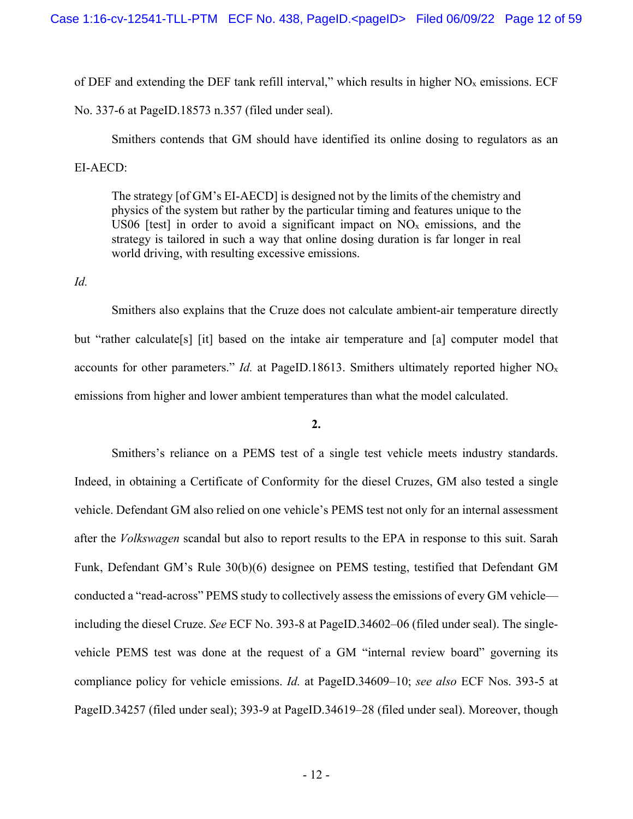of DEF and extending the DEF tank refill interval," which results in higher  $NO<sub>x</sub>$  emissions. ECF

No. 337-6 at PageID.18573 n.357 (filed under seal).

Smithers contends that GM should have identified its online dosing to regulators as an EI-AECD:

The strategy [of GM's EI-AECD] is designed not by the limits of the chemistry and physics of the system but rather by the particular timing and features unique to the US06 [test] in order to avoid a significant impact on  $NO<sub>x</sub>$  emissions, and the strategy is tailored in such a way that online dosing duration is far longer in real world driving, with resulting excessive emissions.

*Id.*

Smithers also explains that the Cruze does not calculate ambient-air temperature directly but "rather calculate[s] [it] based on the intake air temperature and [a] computer model that accounts for other parameters." *Id.* at PageID.18613. Smithers ultimately reported higher NOx emissions from higher and lower ambient temperatures than what the model calculated.

**2.** 

Smithers's reliance on a PEMS test of a single test vehicle meets industry standards. Indeed, in obtaining a Certificate of Conformity for the diesel Cruzes, GM also tested a single vehicle. Defendant GM also relied on one vehicle's PEMS test not only for an internal assessment after the *Volkswagen* scandal but also to report results to the EPA in response to this suit. Sarah Funk, Defendant GM's Rule 30(b)(6) designee on PEMS testing, testified that Defendant GM conducted a "read-across" PEMS study to collectively assess the emissions of every GM vehicle including the diesel Cruze. *See* ECF No. 393-8 at PageID.34602–06 (filed under seal). The singlevehicle PEMS test was done at the request of a GM "internal review board" governing its compliance policy for vehicle emissions. *Id.* at PageID.34609–10; *see also* ECF Nos. 393-5 at PageID.34257 (filed under seal); 393-9 at PageID.34619–28 (filed under seal). Moreover, though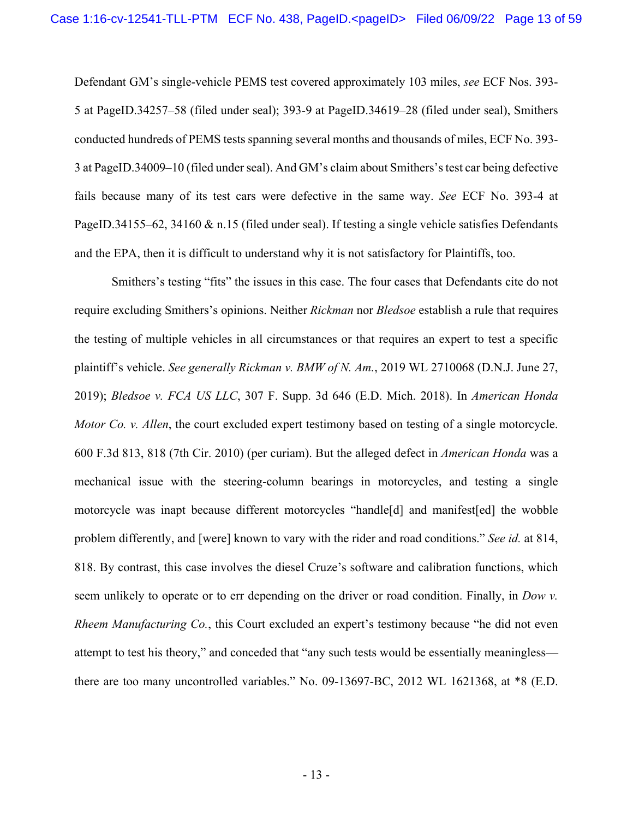Defendant GM's single-vehicle PEMS test covered approximately 103 miles, *see* ECF Nos. 393- 5 at PageID.34257–58 (filed under seal); 393-9 at PageID.34619–28 (filed under seal), Smithers conducted hundreds of PEMS tests spanning several months and thousands of miles, ECF No. 393- 3 at PageID.34009–10 (filed under seal). And GM's claim about Smithers's test car being defective fails because many of its test cars were defective in the same way. *See* ECF No. 393-4 at PageID.34155–62, 34160 & n.15 (filed under seal). If testing a single vehicle satisfies Defendants and the EPA, then it is difficult to understand why it is not satisfactory for Plaintiffs, too.

 Smithers's testing "fits" the issues in this case. The four cases that Defendants cite do not require excluding Smithers's opinions. Neither *Rickman* nor *Bledsoe* establish a rule that requires the testing of multiple vehicles in all circumstances or that requires an expert to test a specific plaintiff's vehicle. *See generally Rickman v. BMW of N. Am.*, 2019 WL 2710068 (D.N.J. June 27, 2019); *Bledsoe v. FCA US LLC*, 307 F. Supp. 3d 646 (E.D. Mich. 2018). In *American Honda Motor Co. v. Allen*, the court excluded expert testimony based on testing of a single motorcycle. 600 F.3d 813, 818 (7th Cir. 2010) (per curiam). But the alleged defect in *American Honda* was a mechanical issue with the steering-column bearings in motorcycles, and testing a single motorcycle was inapt because different motorcycles "handle[d] and manifest[ed] the wobble problem differently, and [were] known to vary with the rider and road conditions." *See id.* at 814, 818. By contrast, this case involves the diesel Cruze's software and calibration functions, which seem unlikely to operate or to err depending on the driver or road condition. Finally, in *Dow v. Rheem Manufacturing Co.*, this Court excluded an expert's testimony because "he did not even attempt to test his theory," and conceded that "any such tests would be essentially meaningless there are too many uncontrolled variables." No. 09-13697-BC, 2012 WL 1621368, at \*8 (E.D.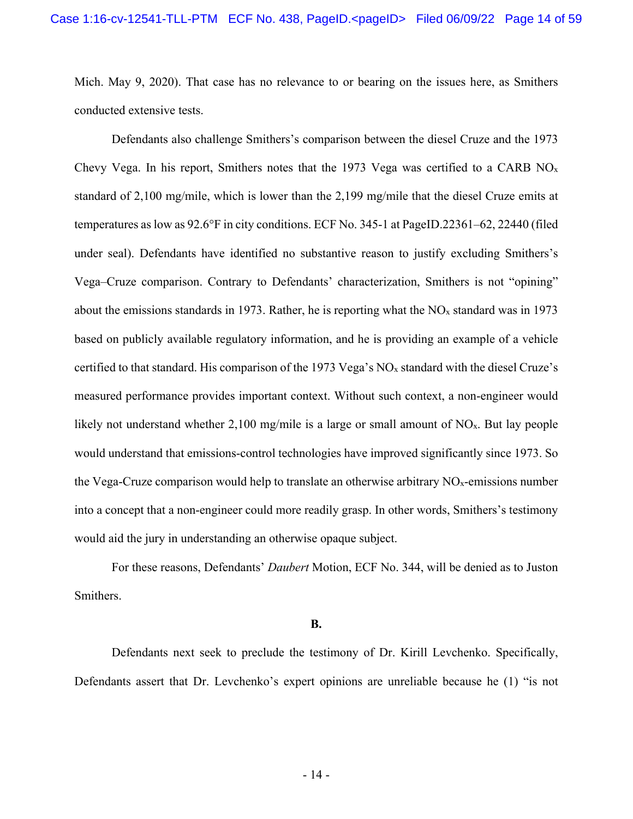Mich. May 9, 2020). That case has no relevance to or bearing on the issues here, as Smithers conducted extensive tests.

 Defendants also challenge Smithers's comparison between the diesel Cruze and the 1973 Chevy Vega. In his report, Smithers notes that the 1973 Vega was certified to a CARB  $NO<sub>x</sub>$ standard of 2,100 mg/mile, which is lower than the 2,199 mg/mile that the diesel Cruze emits at temperatures as low as 92.6°F in city conditions. ECF No. 345-1 at PageID.22361–62, 22440 (filed under seal). Defendants have identified no substantive reason to justify excluding Smithers's Vega–Cruze comparison. Contrary to Defendants' characterization, Smithers is not "opining" about the emissions standards in 1973. Rather, he is reporting what the  $NO<sub>x</sub>$  standard was in 1973 based on publicly available regulatory information, and he is providing an example of a vehicle certified to that standard. His comparison of the 1973 Vega's NOx standard with the diesel Cruze's measured performance provides important context. Without such context, a non-engineer would likely not understand whether 2,100 mg/mile is a large or small amount of  $NO<sub>x</sub>$ . But lay people would understand that emissions-control technologies have improved significantly since 1973. So the Vega-Cruze comparison would help to translate an otherwise arbitrary  $NO<sub>x</sub>$ -emissions number into a concept that a non-engineer could more readily grasp. In other words, Smithers's testimony would aid the jury in understanding an otherwise opaque subject.

 For these reasons, Defendants' *Daubert* Motion, ECF No. 344, will be denied as to Juston Smithers.

#### **B.**

Defendants next seek to preclude the testimony of Dr. Kirill Levchenko. Specifically, Defendants assert that Dr. Levchenko's expert opinions are unreliable because he (1) "is not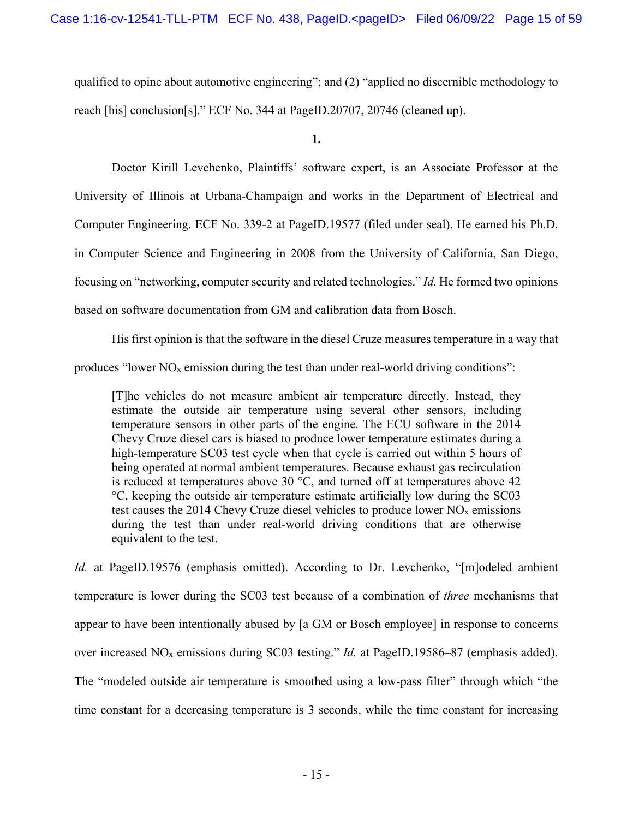qualified to opine about automotive engineering"; and (2) "applied no discernible methodology to reach [his] conclusion[s]." ECF No. 344 at PageID.20707, 20746 (cleaned up).

**1.** 

Doctor Kirill Levchenko, Plaintiffs' software expert, is an Associate Professor at the University of Illinois at Urbana-Champaign and works in the Department of Electrical and Computer Engineering. ECF No. 339-2 at PageID.19577 (filed under seal). He earned his Ph.D. in Computer Science and Engineering in 2008 from the University of California, San Diego, focusing on "networking, computer security and related technologies." *Id.* He formed two opinions based on software documentation from GM and calibration data from Bosch.

His first opinion is that the software in the diesel Cruze measures temperature in a way that produces "lower  $NO<sub>x</sub>$  emission during the test than under real-world driving conditions":

[T]he vehicles do not measure ambient air temperature directly. Instead, they estimate the outside air temperature using several other sensors, including temperature sensors in other parts of the engine. The ECU software in the 2014 Chevy Cruze diesel cars is biased to produce lower temperature estimates during a high-temperature SC03 test cycle when that cycle is carried out within 5 hours of being operated at normal ambient temperatures. Because exhaust gas recirculation is reduced at temperatures above 30  $\degree$ C, and turned off at temperatures above 42 °C, keeping the outside air temperature estimate artificially low during the SC03 test causes the 2014 Chevy Cruze diesel vehicles to produce lower  $NO<sub>x</sub>$  emissions during the test than under real-world driving conditions that are otherwise equivalent to the test.

*Id.* at PageID.19576 (emphasis omitted). According to Dr. Levchenko, "[m]odeled ambient temperature is lower during the SC03 test because of a combination of *three* mechanisms that appear to have been intentionally abused by [a GM or Bosch employee] in response to concerns over increased NOx emissions during SC03 testing." *Id.* at PageID.19586–87 (emphasis added). The "modeled outside air temperature is smoothed using a low-pass filter" through which "the time constant for a decreasing temperature is 3 seconds, while the time constant for increasing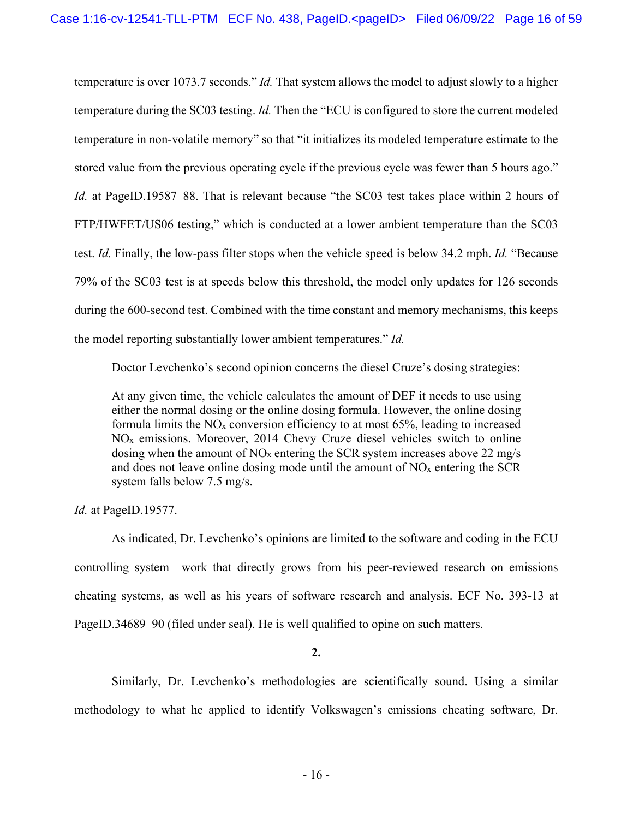temperature is over 1073.7 seconds." *Id.* That system allows the model to adjust slowly to a higher temperature during the SC03 testing. *Id.* Then the "ECU is configured to store the current modeled temperature in non-volatile memory" so that "it initializes its modeled temperature estimate to the stored value from the previous operating cycle if the previous cycle was fewer than 5 hours ago." *Id.* at PageID.19587–88. That is relevant because "the SC03 test takes place within 2 hours of FTP/HWFET/US06 testing," which is conducted at a lower ambient temperature than the SC03 test. *Id.* Finally, the low-pass filter stops when the vehicle speed is below 34.2 mph. *Id.* "Because 79% of the SC03 test is at speeds below this threshold, the model only updates for 126 seconds during the 600-second test. Combined with the time constant and memory mechanisms, this keeps the model reporting substantially lower ambient temperatures." *Id.*

Doctor Levchenko's second opinion concerns the diesel Cruze's dosing strategies:

At any given time, the vehicle calculates the amount of DEF it needs to use using either the normal dosing or the online dosing formula. However, the online dosing formula limits the  $NO<sub>x</sub>$  conversion efficiency to at most 65%, leading to increased  $NO<sub>x</sub>$  emissions. Moreover, 2014 Chevy Cruze diesel vehicles switch to online dosing when the amount of  $NO<sub>x</sub>$  entering the SCR system increases above 22 mg/s and does not leave online dosing mode until the amount of  $NO<sub>x</sub>$  entering the SCR system falls below 7.5 mg/s.

*Id.* at PageID.19577.

 As indicated, Dr. Levchenko's opinions are limited to the software and coding in the ECU controlling system—work that directly grows from his peer-reviewed research on emissions cheating systems, as well as his years of software research and analysis. ECF No. 393-13 at PageID.34689–90 (filed under seal). He is well qualified to opine on such matters.

## **2.**

Similarly, Dr. Levchenko's methodologies are scientifically sound. Using a similar methodology to what he applied to identify Volkswagen's emissions cheating software, Dr.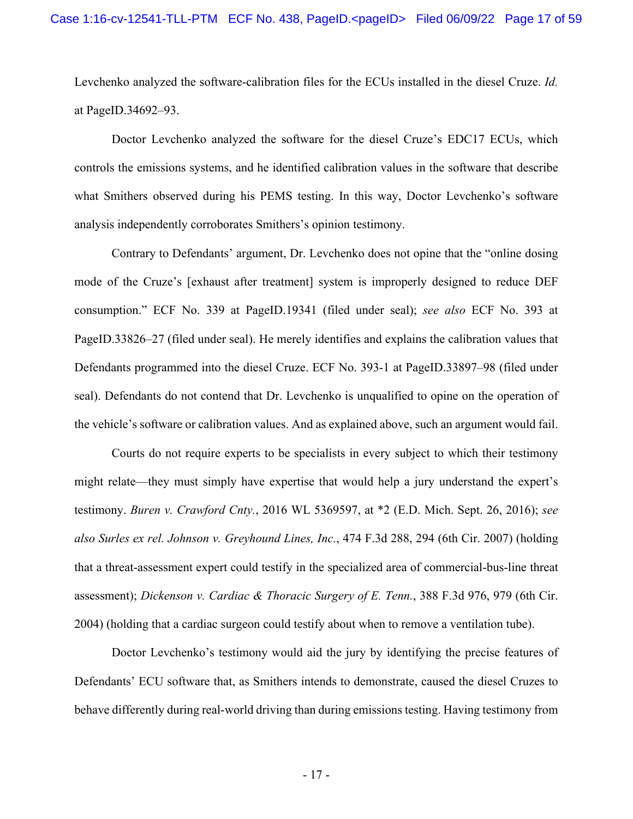Levchenko analyzed the software-calibration files for the ECUs installed in the diesel Cruze. *Id.* at PageID.34692–93.

Doctor Levchenko analyzed the software for the diesel Cruze's EDC17 ECUs, which controls the emissions systems, and he identified calibration values in the software that describe what Smithers observed during his PEMS testing. In this way, Doctor Levchenko's software analysis independently corroborates Smithers's opinion testimony.

Contrary to Defendants' argument, Dr. Levchenko does not opine that the "online dosing mode of the Cruze's [exhaust after treatment] system is improperly designed to reduce DEF consumption." ECF No. 339 at PageID.19341 (filed under seal); *see also* ECF No. 393 at PageID.33826–27 (filed under seal). He merely identifies and explains the calibration values that Defendants programmed into the diesel Cruze. ECF No. 393-1 at PageID.33897–98 (filed under seal). Defendants do not contend that Dr. Levchenko is unqualified to opine on the operation of the vehicle's software or calibration values. And as explained above, such an argument would fail.

Courts do not require experts to be specialists in every subject to which their testimony might relate—they must simply have expertise that would help a jury understand the expert's testimony. *Buren v. Crawford Cnty.*, 2016 WL 5369597, at \*2 (E.D. Mich. Sept. 26, 2016); *see also Surles ex rel. Johnson v. Greyhound Lines, Inc.*, 474 F.3d 288, 294 (6th Cir. 2007) (holding that a threat-assessment expert could testify in the specialized area of commercial-bus-line threat assessment); *Dickenson v. Cardiac & Thoracic Surgery of E. Tenn.*, 388 F.3d 976, 979 (6th Cir. 2004) (holding that a cardiac surgeon could testify about when to remove a ventilation tube).

Doctor Levchenko's testimony would aid the jury by identifying the precise features of Defendants' ECU software that, as Smithers intends to demonstrate, caused the diesel Cruzes to behave differently during real-world driving than during emissions testing. Having testimony from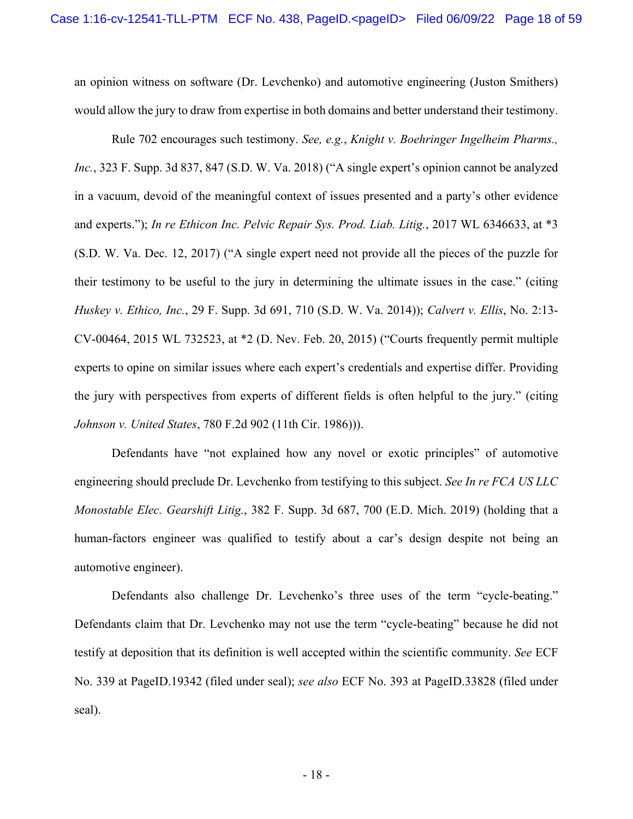an opinion witness on software (Dr. Levchenko) and automotive engineering (Juston Smithers) would allow the jury to draw from expertise in both domains and better understand their testimony.

Rule 702 encourages such testimony. *See, e.g.*, *Knight v. Boehringer Ingelheim Pharms., Inc.*, 323 F. Supp. 3d 837, 847 (S.D. W. Va. 2018) ("A single expert's opinion cannot be analyzed in a vacuum, devoid of the meaningful context of issues presented and a party's other evidence and experts."); *In re Ethicon Inc. Pelvic Repair Sys. Prod. Liab. Litig.*, 2017 WL 6346633, at \*3 (S.D. W. Va. Dec. 12, 2017) ("A single expert need not provide all the pieces of the puzzle for their testimony to be useful to the jury in determining the ultimate issues in the case." (citing *Huskey v. Ethico, Inc.*, 29 F. Supp. 3d 691, 710 (S.D. W. Va. 2014)); *Calvert v. Ellis*, No. 2:13- CV-00464, 2015 WL 732523, at \*2 (D. Nev. Feb. 20, 2015) ("Courts frequently permit multiple experts to opine on similar issues where each expert's credentials and expertise differ. Providing the jury with perspectives from experts of different fields is often helpful to the jury." (citing *Johnson v. United States*, 780 F.2d 902 (11th Cir. 1986))).

Defendants have "not explained how any novel or exotic principles" of automotive engineering should preclude Dr. Levchenko from testifying to this subject. *See In re FCA US LLC Monostable Elec. Gearshift Litig.*, 382 F. Supp. 3d 687, 700 (E.D. Mich. 2019) (holding that a human-factors engineer was qualified to testify about a car's design despite not being an automotive engineer).

Defendants also challenge Dr. Levchenko's three uses of the term "cycle-beating." Defendants claim that Dr. Levchenko may not use the term "cycle-beating" because he did not testify at deposition that its definition is well accepted within the scientific community. *See* ECF No. 339 at PageID.19342 (filed under seal); *see also* ECF No. 393 at PageID.33828 (filed under seal).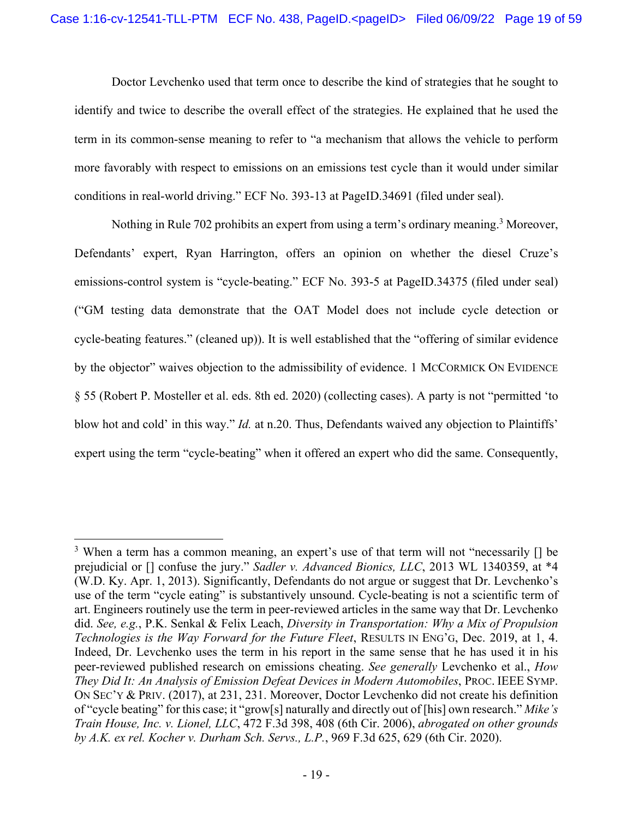Doctor Levchenko used that term once to describe the kind of strategies that he sought to identify and twice to describe the overall effect of the strategies. He explained that he used the term in its common-sense meaning to refer to "a mechanism that allows the vehicle to perform more favorably with respect to emissions on an emissions test cycle than it would under similar conditions in real-world driving." ECF No. 393-13 at PageID.34691 (filed under seal).

Nothing in Rule 702 prohibits an expert from using a term's ordinary meaning.<sup>3</sup> Moreover, Defendants' expert, Ryan Harrington, offers an opinion on whether the diesel Cruze's emissions-control system is "cycle-beating." ECF No. 393-5 at PageID.34375 (filed under seal) ("GM testing data demonstrate that the OAT Model does not include cycle detection or cycle-beating features." (cleaned up)). It is well established that the "offering of similar evidence by the objector" waives objection to the admissibility of evidence. 1 MCCORMICK ON EVIDENCE § 55 (Robert P. Mosteller et al. eds. 8th ed. 2020) (collecting cases). A party is not "permitted 'to blow hot and cold' in this way." *Id.* at n.20. Thus, Defendants waived any objection to Plaintiffs' expert using the term "cycle-beating" when it offered an expert who did the same. Consequently,

<sup>&</sup>lt;sup>3</sup> When a term has a common meaning, an expert's use of that term will not "necessarily  $\lceil \rceil$  be prejudicial or [] confuse the jury." *Sadler v. Advanced Bionics, LLC*, 2013 WL 1340359, at \*4 (W.D. Ky. Apr. 1, 2013). Significantly, Defendants do not argue or suggest that Dr. Levchenko's use of the term "cycle eating" is substantively unsound. Cycle-beating is not a scientific term of art. Engineers routinely use the term in peer-reviewed articles in the same way that Dr. Levchenko did. *See, e.g.*, P.K. Senkal & Felix Leach, *Diversity in Transportation: Why a Mix of Propulsion Technologies is the Way Forward for the Future Fleet*, RESULTS IN ENG'G, Dec. 2019, at 1, 4. Indeed, Dr. Levchenko uses the term in his report in the same sense that he has used it in his peer-reviewed published research on emissions cheating. *See generally* Levchenko et al., *How They Did It: An Analysis of Emission Defeat Devices in Modern Automobiles*, PROC. IEEE SYMP. ON SEC'Y & PRIV. (2017), at 231, 231. Moreover, Doctor Levchenko did not create his definition of "cycle beating" for this case; it "grow[s] naturally and directly out of [his] own research." *Mike's Train House, Inc. v. Lionel, LLC*, 472 F.3d 398, 408 (6th Cir. 2006), *abrogated on other grounds by A.K. ex rel. Kocher v. Durham Sch. Servs., L.P.*, 969 F.3d 625, 629 (6th Cir. 2020).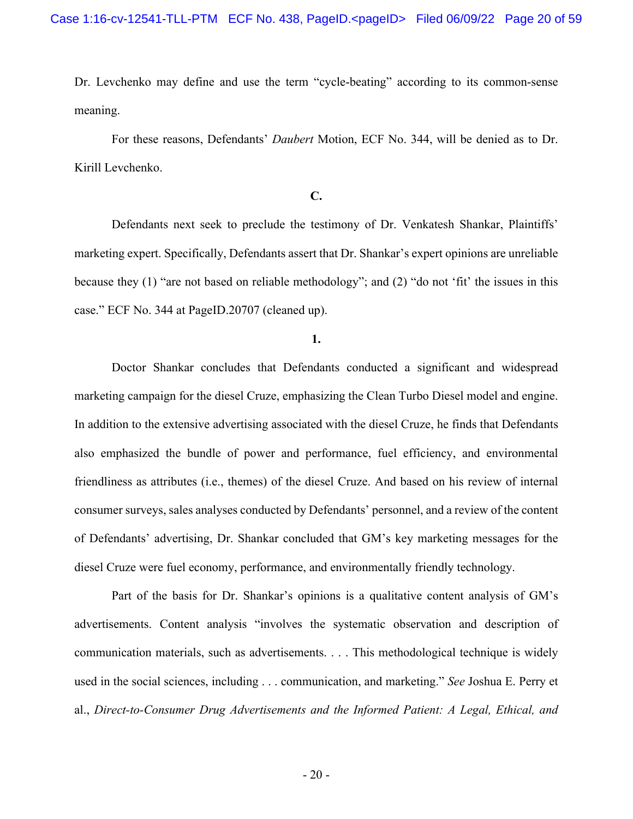Dr. Levchenko may define and use the term "cycle-beating" according to its common-sense meaning.

 For these reasons, Defendants' *Daubert* Motion, ECF No. 344, will be denied as to Dr. Kirill Levchenko.

# **C.**

Defendants next seek to preclude the testimony of Dr. Venkatesh Shankar, Plaintiffs' marketing expert. Specifically, Defendants assert that Dr. Shankar's expert opinions are unreliable because they (1) "are not based on reliable methodology"; and (2) "do not 'fit' the issues in this case." ECF No. 344 at PageID.20707 (cleaned up).

**1.** 

Doctor Shankar concludes that Defendants conducted a significant and widespread marketing campaign for the diesel Cruze, emphasizing the Clean Turbo Diesel model and engine. In addition to the extensive advertising associated with the diesel Cruze, he finds that Defendants also emphasized the bundle of power and performance, fuel efficiency, and environmental friendliness as attributes (i.e., themes) of the diesel Cruze. And based on his review of internal consumer surveys, sales analyses conducted by Defendants' personnel, and a review of the content of Defendants' advertising, Dr. Shankar concluded that GM's key marketing messages for the diesel Cruze were fuel economy, performance, and environmentally friendly technology.

Part of the basis for Dr. Shankar's opinions is a qualitative content analysis of GM's advertisements. Content analysis "involves the systematic observation and description of communication materials, such as advertisements. . . . This methodological technique is widely used in the social sciences, including . . . communication, and marketing." *See* Joshua E. Perry et al., *Direct-to-Consumer Drug Advertisements and the Informed Patient: A Legal, Ethical, and*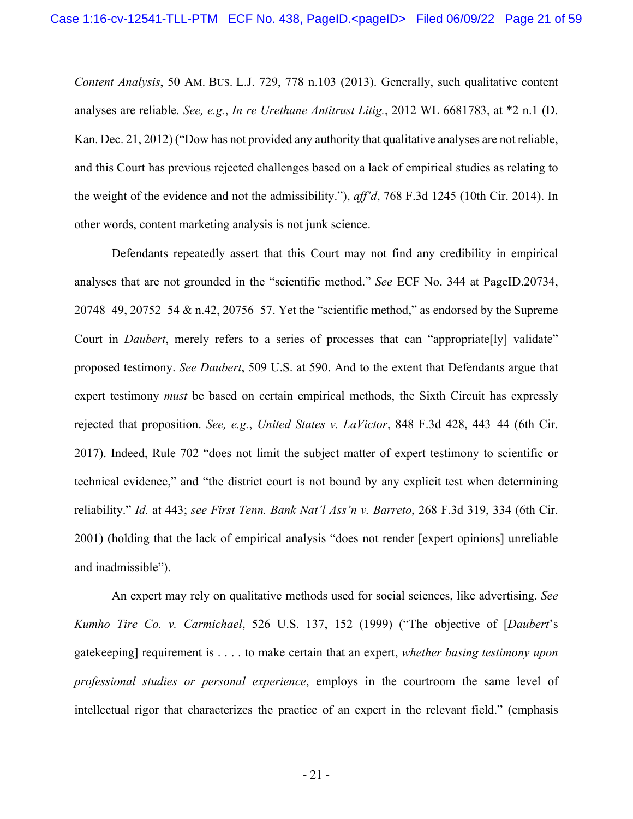*Content Analysis*, 50 AM. BUS. L.J. 729, 778 n.103 (2013). Generally, such qualitative content analyses are reliable. *See, e.g.*, *In re Urethane Antitrust Litig.*, 2012 WL 6681783, at \*2 n.1 (D. Kan. Dec. 21, 2012) ("Dow has not provided any authority that qualitative analyses are not reliable, and this Court has previous rejected challenges based on a lack of empirical studies as relating to the weight of the evidence and not the admissibility."), *aff'd*, 768 F.3d 1245 (10th Cir. 2014). In other words, content marketing analysis is not junk science.

Defendants repeatedly assert that this Court may not find any credibility in empirical analyses that are not grounded in the "scientific method." *See* ECF No. 344 at PageID.20734, 20748–49, 20752–54 & n.42, 20756–57. Yet the "scientific method," as endorsed by the Supreme Court in *Daubert*, merely refers to a series of processes that can "appropriate[ly] validate" proposed testimony. *See Daubert*, 509 U.S. at 590. And to the extent that Defendants argue that expert testimony *must* be based on certain empirical methods, the Sixth Circuit has expressly rejected that proposition. *See, e.g.*, *United States v. LaVictor*, 848 F.3d 428, 443–44 (6th Cir. 2017). Indeed, Rule 702 "does not limit the subject matter of expert testimony to scientific or technical evidence," and "the district court is not bound by any explicit test when determining reliability." *Id.* at 443; *see First Tenn. Bank Nat'l Ass'n v. Barreto*, 268 F.3d 319, 334 (6th Cir. 2001) (holding that the lack of empirical analysis "does not render [expert opinions] unreliable and inadmissible").

An expert may rely on qualitative methods used for social sciences, like advertising. *See Kumho Tire Co. v. Carmichael*, 526 U.S. 137, 152 (1999) ("The objective of [*Daubert*'s gatekeeping] requirement is . . . . to make certain that an expert, *whether basing testimony upon professional studies or personal experience*, employs in the courtroom the same level of intellectual rigor that characterizes the practice of an expert in the relevant field." (emphasis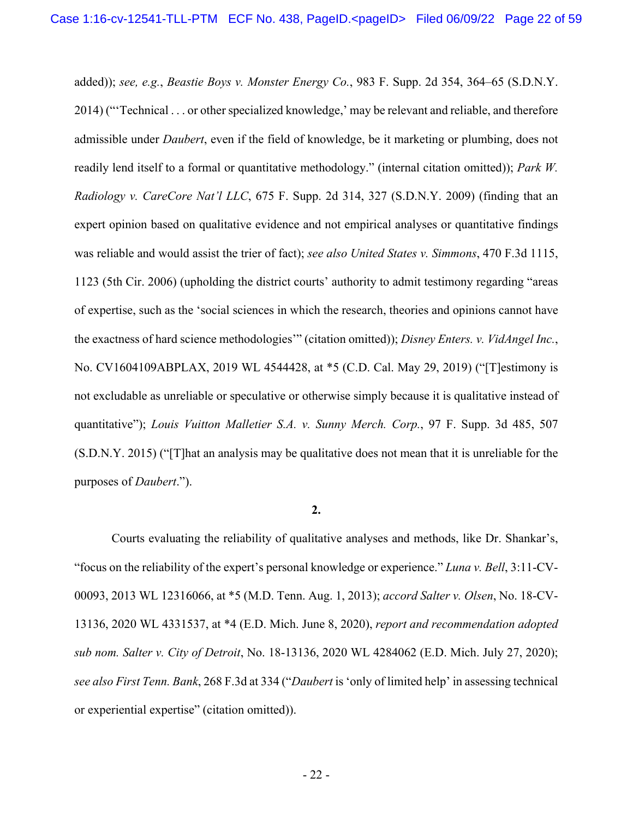added)); *see, e.g.*, *Beastie Boys v. Monster Energy Co.*, 983 F. Supp. 2d 354, 364–65 (S.D.N.Y. 2014) ("'Technical . . . or other specialized knowledge,' may be relevant and reliable, and therefore admissible under *Daubert*, even if the field of knowledge, be it marketing or plumbing, does not readily lend itself to a formal or quantitative methodology." (internal citation omitted)); *Park W. Radiology v. CareCore Nat'l LLC*, 675 F. Supp. 2d 314, 327 (S.D.N.Y. 2009) (finding that an expert opinion based on qualitative evidence and not empirical analyses or quantitative findings was reliable and would assist the trier of fact); *see also United States v. Simmons*, 470 F.3d 1115, 1123 (5th Cir. 2006) (upholding the district courts' authority to admit testimony regarding "areas of expertise, such as the 'social sciences in which the research, theories and opinions cannot have the exactness of hard science methodologies'" (citation omitted)); *Disney Enters. v. VidAngel Inc.*, No. CV1604109ABPLAX, 2019 WL 4544428, at \*5 (C.D. Cal. May 29, 2019) ("[T]estimony is not excludable as unreliable or speculative or otherwise simply because it is qualitative instead of quantitative"); *Louis Vuitton Malletier S.A. v. Sunny Merch. Corp.*, 97 F. Supp. 3d 485, 507 (S.D.N.Y. 2015) ("[T]hat an analysis may be qualitative does not mean that it is unreliable for the purposes of *Daubert*.").

## **2.**

Courts evaluating the reliability of qualitative analyses and methods, like Dr. Shankar's, "focus on the reliability of the expert's personal knowledge or experience." *Luna v. Bell*, 3:11-CV-00093, 2013 WL 12316066, at \*5 (M.D. Tenn. Aug. 1, 2013); *accord Salter v. Olsen*, No. 18-CV-13136, 2020 WL 4331537, at \*4 (E.D. Mich. June 8, 2020), *report and recommendation adopted sub nom. Salter v. City of Detroit*, No. 18-13136, 2020 WL 4284062 (E.D. Mich. July 27, 2020); *see also First Tenn. Bank*, 268 F.3d at 334 ("*Daubert* is 'only of limited help' in assessing technical or experiential expertise" (citation omitted)).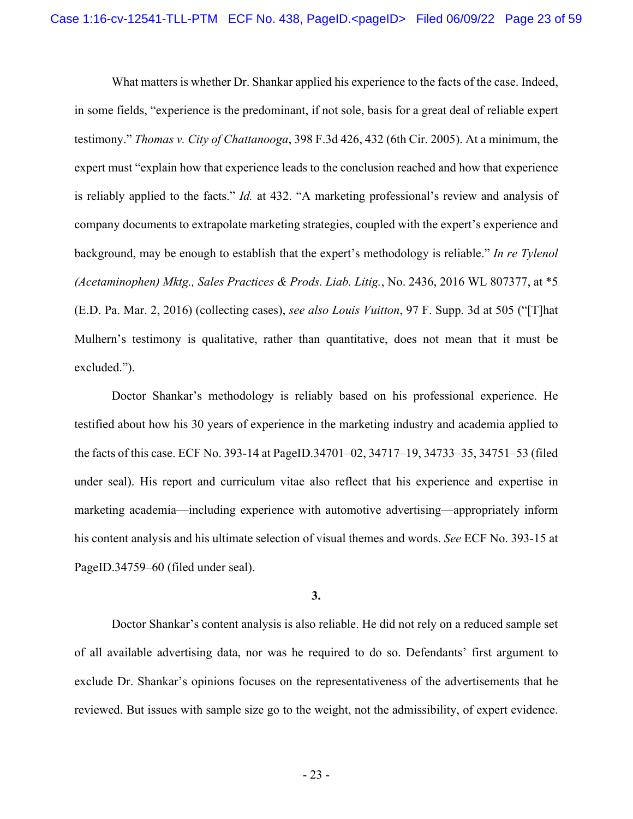What matters is whether Dr. Shankar applied his experience to the facts of the case. Indeed, in some fields, "experience is the predominant, if not sole, basis for a great deal of reliable expert testimony." *Thomas v. City of Chattanooga*, 398 F.3d 426, 432 (6th Cir. 2005). At a minimum, the expert must "explain how that experience leads to the conclusion reached and how that experience is reliably applied to the facts." *Id.* at 432. "A marketing professional's review and analysis of company documents to extrapolate marketing strategies, coupled with the expert's experience and background, may be enough to establish that the expert's methodology is reliable." *In re Tylenol (Acetaminophen) Mktg., Sales Practices & Prods. Liab. Litig.*, No. 2436, 2016 WL 807377, at \*5 (E.D. Pa. Mar. 2, 2016) (collecting cases), *see also Louis Vuitton*, 97 F. Supp. 3d at 505 ("[T]hat Mulhern's testimony is qualitative, rather than quantitative, does not mean that it must be excluded.").

Doctor Shankar's methodology is reliably based on his professional experience. He testified about how his 30 years of experience in the marketing industry and academia applied to the facts of this case. ECF No. 393-14 at PageID.34701–02, 34717–19, 34733–35, 34751–53 (filed under seal). His report and curriculum vitae also reflect that his experience and expertise in marketing academia—including experience with automotive advertising—appropriately inform his content analysis and his ultimate selection of visual themes and words. *See* ECF No. 393-15 at PageID.34759–60 (filed under seal).

## **3.**

Doctor Shankar's content analysis is also reliable. He did not rely on a reduced sample set of all available advertising data, nor was he required to do so. Defendants' first argument to exclude Dr. Shankar's opinions focuses on the representativeness of the advertisements that he reviewed. But issues with sample size go to the weight, not the admissibility, of expert evidence.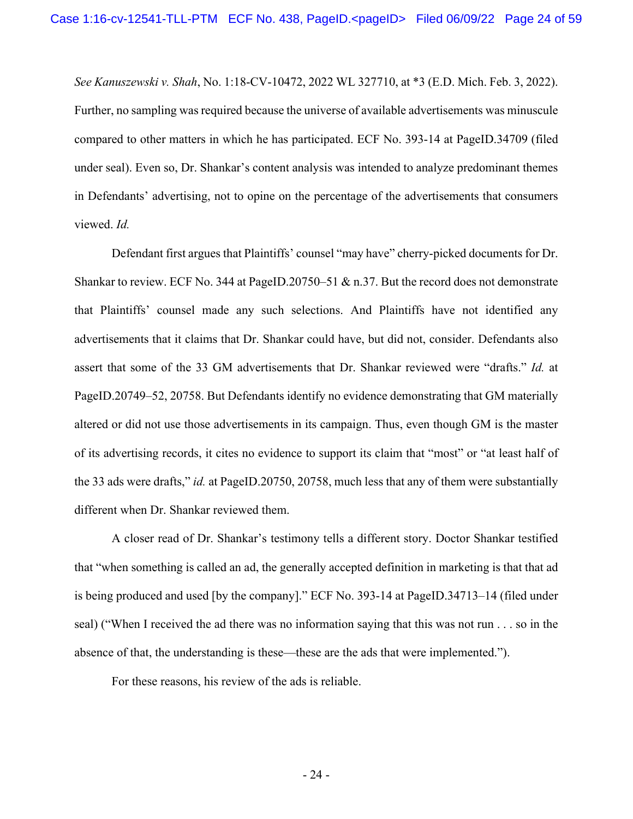*See Kanuszewski v. Shah*, No. 1:18-CV-10472, 2022 WL 327710, at \*3 (E.D. Mich. Feb. 3, 2022). Further, no sampling was required because the universe of available advertisements was minuscule compared to other matters in which he has participated. ECF No. 393-14 at PageID.34709 (filed under seal). Even so, Dr. Shankar's content analysis was intended to analyze predominant themes in Defendants' advertising, not to opine on the percentage of the advertisements that consumers viewed. *Id.*

Defendant first argues that Plaintiffs' counsel "may have" cherry-picked documents for Dr. Shankar to review. ECF No. 344 at PageID.20750–51 & n.37. But the record does not demonstrate that Plaintiffs' counsel made any such selections. And Plaintiffs have not identified any advertisements that it claims that Dr. Shankar could have, but did not, consider. Defendants also assert that some of the 33 GM advertisements that Dr. Shankar reviewed were "drafts." *Id.* at PageID.20749–52, 20758. But Defendants identify no evidence demonstrating that GM materially altered or did not use those advertisements in its campaign. Thus, even though GM is the master of its advertising records, it cites no evidence to support its claim that "most" or "at least half of the 33 ads were drafts," *id.* at PageID.20750, 20758, much less that any of them were substantially different when Dr. Shankar reviewed them.

A closer read of Dr. Shankar's testimony tells a different story. Doctor Shankar testified that "when something is called an ad, the generally accepted definition in marketing is that that ad is being produced and used [by the company]." ECF No. 393-14 at PageID.34713–14 (filed under seal) ("When I received the ad there was no information saying that this was not run . . . so in the absence of that, the understanding is these—these are the ads that were implemented.").

For these reasons, his review of the ads is reliable.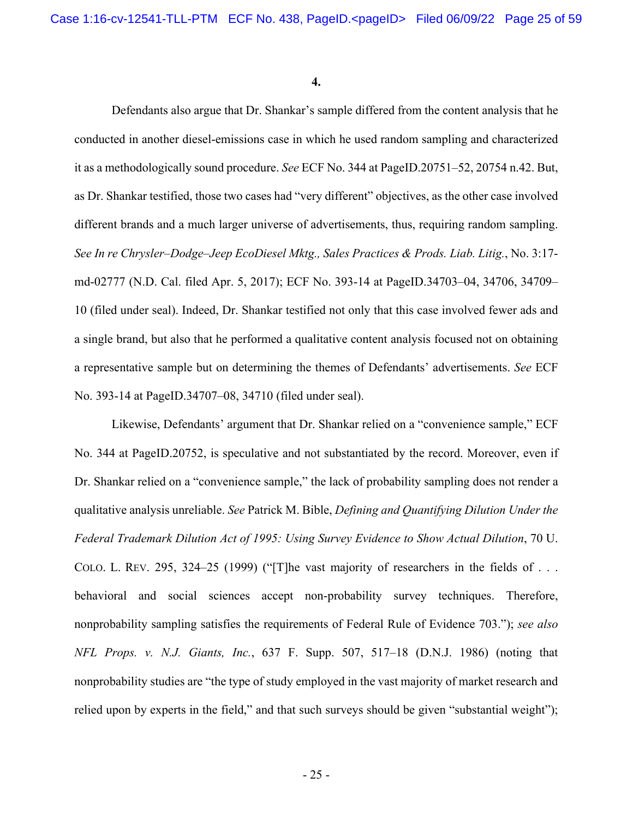**4.** 

Defendants also argue that Dr. Shankar's sample differed from the content analysis that he conducted in another diesel-emissions case in which he used random sampling and characterized it as a methodologically sound procedure. *See* ECF No. 344 at PageID.20751–52, 20754 n.42. But, as Dr. Shankar testified, those two cases had "very different" objectives, as the other case involved different brands and a much larger universe of advertisements, thus, requiring random sampling. *See In re Chrysler–Dodge–Jeep EcoDiesel Mktg., Sales Practices & Prods. Liab. Litig.*, No. 3:17 md-02777 (N.D. Cal. filed Apr. 5, 2017); ECF No. 393-14 at PageID.34703–04, 34706, 34709– 10 (filed under seal). Indeed, Dr. Shankar testified not only that this case involved fewer ads and a single brand, but also that he performed a qualitative content analysis focused not on obtaining a representative sample but on determining the themes of Defendants' advertisements. *See* ECF No. 393-14 at PageID.34707–08, 34710 (filed under seal).

Likewise, Defendants' argument that Dr. Shankar relied on a "convenience sample," ECF No. 344 at PageID.20752, is speculative and not substantiated by the record. Moreover, even if Dr. Shankar relied on a "convenience sample," the lack of probability sampling does not render a qualitative analysis unreliable. *See* Patrick M. Bible, *Defining and Quantifying Dilution Under the Federal Trademark Dilution Act of 1995: Using Survey Evidence to Show Actual Dilution*, 70 U. COLO. L. REV. 295, 324–25 (1999) ("[T]he vast majority of researchers in the fields of ... behavioral and social sciences accept non-probability survey techniques. Therefore, nonprobability sampling satisfies the requirements of Federal Rule of Evidence 703."); *see also NFL Props. v. N.J. Giants, Inc.*, 637 F. Supp. 507, 517–18 (D.N.J. 1986) (noting that nonprobability studies are "the type of study employed in the vast majority of market research and relied upon by experts in the field," and that such surveys should be given "substantial weight");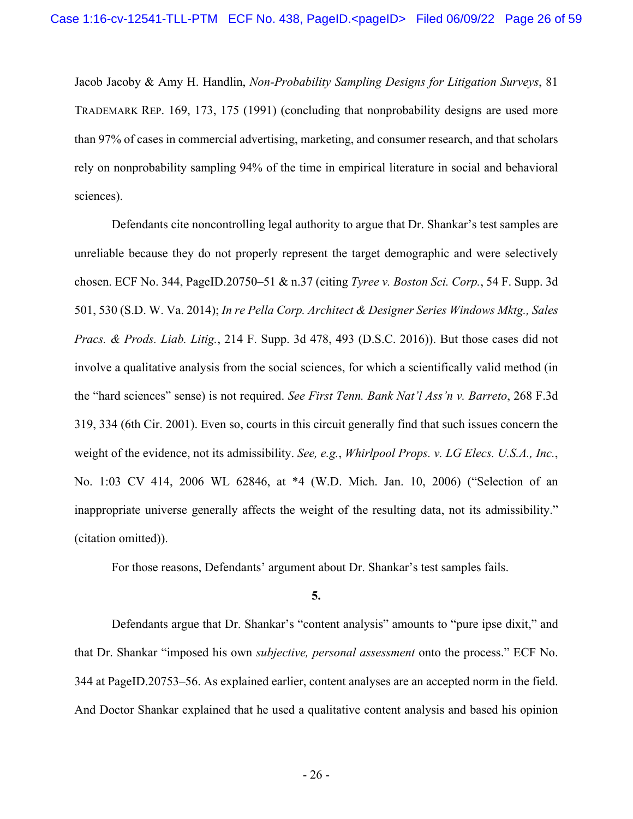Jacob Jacoby & Amy H. Handlin, *Non-Probability Sampling Designs for Litigation Surveys*, 81 TRADEMARK REP. 169, 173, 175 (1991) (concluding that nonprobability designs are used more than 97% of cases in commercial advertising, marketing, and consumer research, and that scholars rely on nonprobability sampling 94% of the time in empirical literature in social and behavioral sciences).

Defendants cite noncontrolling legal authority to argue that Dr. Shankar's test samples are unreliable because they do not properly represent the target demographic and were selectively chosen. ECF No. 344, PageID.20750–51 & n.37 (citing *Tyree v. Boston Sci. Corp.*, 54 F. Supp. 3d 501, 530 (S.D. W. Va. 2014); *In re Pella Corp. Architect & Designer Series Windows Mktg., Sales Pracs. & Prods. Liab. Litig.*, 214 F. Supp. 3d 478, 493 (D.S.C. 2016)). But those cases did not involve a qualitative analysis from the social sciences, for which a scientifically valid method (in the "hard sciences" sense) is not required. *See First Tenn. Bank Nat'l Ass'n v. Barreto*, 268 F.3d 319, 334 (6th Cir. 2001). Even so, courts in this circuit generally find that such issues concern the weight of the evidence, not its admissibility. *See, e.g.*, *Whirlpool Props. v. LG Elecs. U.S.A., Inc.*, No. 1:03 CV 414, 2006 WL 62846, at \*4 (W.D. Mich. Jan. 10, 2006) ("Selection of an inappropriate universe generally affects the weight of the resulting data, not its admissibility." (citation omitted)).

For those reasons, Defendants' argument about Dr. Shankar's test samples fails.

## **5.**

 Defendants argue that Dr. Shankar's "content analysis" amounts to "pure ipse dixit," and that Dr. Shankar "imposed his own *subjective, personal assessment* onto the process." ECF No. 344 at PageID.20753–56. As explained earlier, content analyses are an accepted norm in the field. And Doctor Shankar explained that he used a qualitative content analysis and based his opinion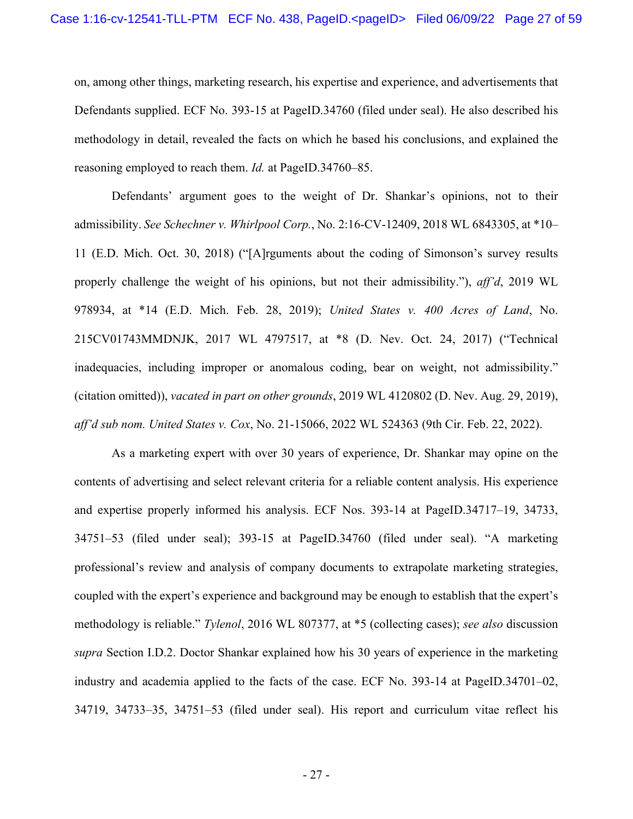on, among other things, marketing research, his expertise and experience, and advertisements that Defendants supplied. ECF No. 393-15 at PageID.34760 (filed under seal). He also described his methodology in detail, revealed the facts on which he based his conclusions, and explained the reasoning employed to reach them. *Id.* at PageID.34760–85.

Defendants' argument goes to the weight of Dr. Shankar's opinions, not to their admissibility. *See Schechner v. Whirlpool Corp.*, No. 2:16-CV-12409, 2018 WL 6843305, at \*10– 11 (E.D. Mich. Oct. 30, 2018) ("[A]rguments about the coding of Simonson's survey results properly challenge the weight of his opinions, but not their admissibility."), *aff'd*, 2019 WL 978934, at \*14 (E.D. Mich. Feb. 28, 2019); *United States v. 400 Acres of Land*, No. 215CV01743MMDNJK, 2017 WL 4797517, at \*8 (D. Nev. Oct. 24, 2017) ("Technical inadequacies, including improper or anomalous coding, bear on weight, not admissibility." (citation omitted)), *vacated in part on other grounds*, 2019 WL 4120802 (D. Nev. Aug. 29, 2019), *aff'd sub nom. United States v. Cox*, No. 21-15066, 2022 WL 524363 (9th Cir. Feb. 22, 2022).

As a marketing expert with over 30 years of experience, Dr. Shankar may opine on the contents of advertising and select relevant criteria for a reliable content analysis. His experience and expertise properly informed his analysis. ECF Nos. 393-14 at PageID.34717–19, 34733, 34751–53 (filed under seal); 393-15 at PageID.34760 (filed under seal). "A marketing professional's review and analysis of company documents to extrapolate marketing strategies, coupled with the expert's experience and background may be enough to establish that the expert's methodology is reliable." *Tylenol*, 2016 WL 807377, at \*5 (collecting cases); *see also* discussion *supra* Section I.D.2. Doctor Shankar explained how his 30 years of experience in the marketing industry and academia applied to the facts of the case. ECF No. 393-14 at PageID.34701–02, 34719, 34733–35, 34751–53 (filed under seal). His report and curriculum vitae reflect his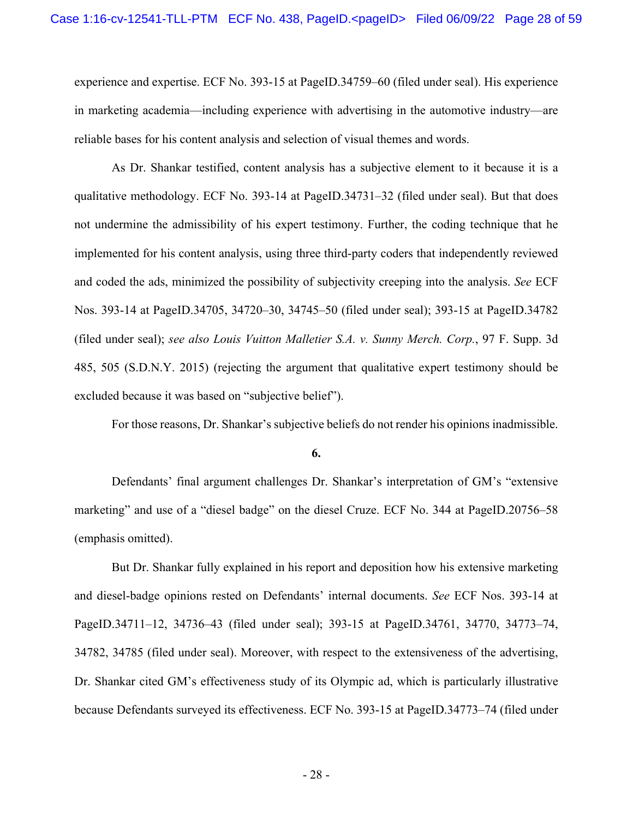experience and expertise. ECF No. 393-15 at PageID.34759–60 (filed under seal). His experience in marketing academia—including experience with advertising in the automotive industry—are reliable bases for his content analysis and selection of visual themes and words.

As Dr. Shankar testified, content analysis has a subjective element to it because it is a qualitative methodology. ECF No. 393-14 at PageID.34731–32 (filed under seal). But that does not undermine the admissibility of his expert testimony. Further, the coding technique that he implemented for his content analysis, using three third-party coders that independently reviewed and coded the ads, minimized the possibility of subjectivity creeping into the analysis. *See* ECF Nos. 393-14 at PageID.34705, 34720–30, 34745–50 (filed under seal); 393-15 at PageID.34782 (filed under seal); *see also Louis Vuitton Malletier S.A. v. Sunny Merch. Corp.*, 97 F. Supp. 3d 485, 505 (S.D.N.Y. 2015) (rejecting the argument that qualitative expert testimony should be excluded because it was based on "subjective belief").

For those reasons, Dr. Shankar's subjective beliefs do not render his opinions inadmissible.

**6.** 

 Defendants' final argument challenges Dr. Shankar's interpretation of GM's "extensive marketing" and use of a "diesel badge" on the diesel Cruze. ECF No. 344 at PageID.20756–58 (emphasis omitted).

But Dr. Shankar fully explained in his report and deposition how his extensive marketing and diesel-badge opinions rested on Defendants' internal documents. *See* ECF Nos. 393-14 at PageID.34711–12, 34736–43 (filed under seal); 393-15 at PageID.34761, 34770, 34773–74, 34782, 34785 (filed under seal). Moreover, with respect to the extensiveness of the advertising, Dr. Shankar cited GM's effectiveness study of its Olympic ad, which is particularly illustrative because Defendants surveyed its effectiveness. ECF No. 393-15 at PageID.34773–74 (filed under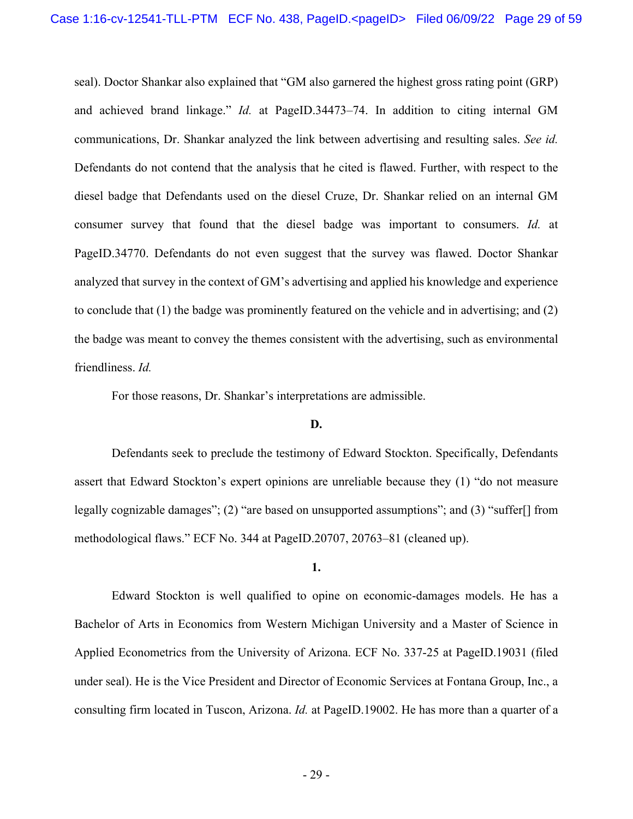seal). Doctor Shankar also explained that "GM also garnered the highest gross rating point (GRP) and achieved brand linkage." *Id.* at PageID.34473–74. In addition to citing internal GM communications, Dr. Shankar analyzed the link between advertising and resulting sales. *See id.* Defendants do not contend that the analysis that he cited is flawed. Further, with respect to the diesel badge that Defendants used on the diesel Cruze, Dr. Shankar relied on an internal GM consumer survey that found that the diesel badge was important to consumers. *Id.* at PageID.34770. Defendants do not even suggest that the survey was flawed. Doctor Shankar analyzed that survey in the context of GM's advertising and applied his knowledge and experience to conclude that (1) the badge was prominently featured on the vehicle and in advertising; and (2) the badge was meant to convey the themes consistent with the advertising, such as environmental friendliness. *Id.*

For those reasons, Dr. Shankar's interpretations are admissible.

### **D.**

Defendants seek to preclude the testimony of Edward Stockton. Specifically, Defendants assert that Edward Stockton's expert opinions are unreliable because they (1) "do not measure legally cognizable damages"; (2) "are based on unsupported assumptions"; and (3) "suffer[] from methodological flaws." ECF No. 344 at PageID.20707, 20763–81 (cleaned up).

#### **1.**

Edward Stockton is well qualified to opine on economic-damages models. He has a Bachelor of Arts in Economics from Western Michigan University and a Master of Science in Applied Econometrics from the University of Arizona. ECF No. 337-25 at PageID.19031 (filed under seal). He is the Vice President and Director of Economic Services at Fontana Group, Inc., a consulting firm located in Tuscon, Arizona. *Id.* at PageID.19002. He has more than a quarter of a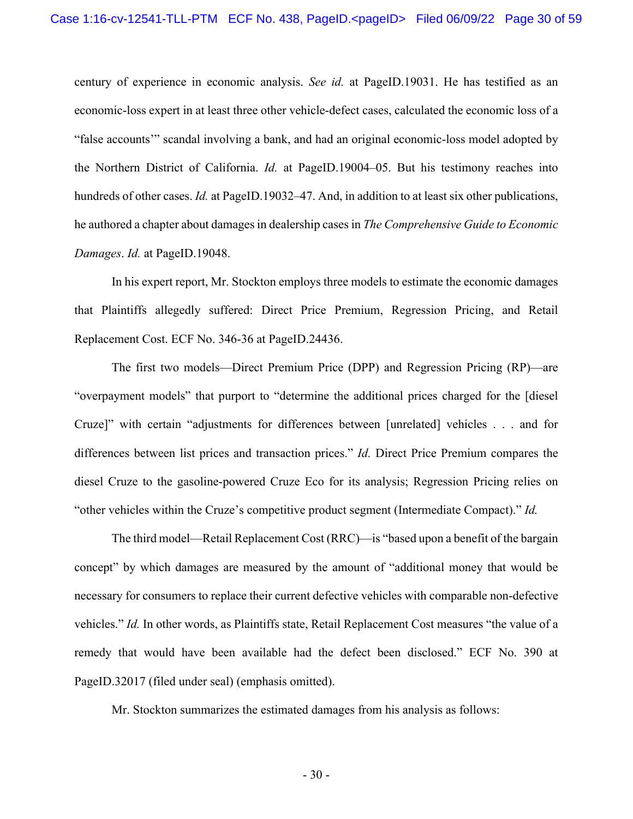century of experience in economic analysis. *See id.* at PageID.19031. He has testified as an economic-loss expert in at least three other vehicle-defect cases, calculated the economic loss of a "false accounts'" scandal involving a bank, and had an original economic-loss model adopted by the Northern District of California. *Id.* at PageID.19004–05. But his testimony reaches into hundreds of other cases. *Id.* at PageID.19032–47. And, in addition to at least six other publications, he authored a chapter about damages in dealership cases in *The Comprehensive Guide to Economic Damages*. *Id.* at PageID.19048.

In his expert report, Mr. Stockton employs three models to estimate the economic damages that Plaintiffs allegedly suffered: Direct Price Premium, Regression Pricing, and Retail Replacement Cost. ECF No. 346-36 at PageID.24436.

The first two models—Direct Premium Price (DPP) and Regression Pricing (RP)—are "overpayment models" that purport to "determine the additional prices charged for the [diesel Cruze]" with certain "adjustments for differences between [unrelated] vehicles . . . and for differences between list prices and transaction prices." *Id.* Direct Price Premium compares the diesel Cruze to the gasoline-powered Cruze Eco for its analysis; Regression Pricing relies on "other vehicles within the Cruze's competitive product segment (Intermediate Compact)." *Id.*

The third model—Retail Replacement Cost (RRC)—is "based upon a benefit of the bargain concept" by which damages are measured by the amount of "additional money that would be necessary for consumers to replace their current defective vehicles with comparable non-defective vehicles." *Id.* In other words, as Plaintiffs state, Retail Replacement Cost measures "the value of a remedy that would have been available had the defect been disclosed." ECF No. 390 at PageID.32017 (filed under seal) (emphasis omitted).

Mr. Stockton summarizes the estimated damages from his analysis as follows: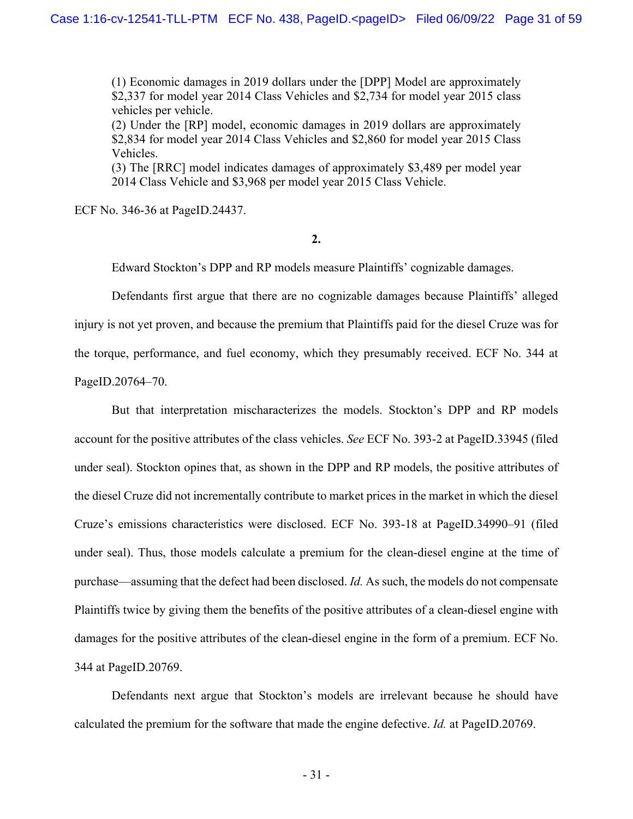(1) Economic damages in 2019 dollars under the [DPP] Model are approximately \$2,337 for model year 2014 Class Vehicles and \$2,734 for model year 2015 class vehicles per vehicle.

(2) Under the [RP] model, economic damages in 2019 dollars are approximately \$2,834 for model year 2014 Class Vehicles and \$2,860 for model year 2015 Class Vehicles.

(3) The [RRC] model indicates damages of approximately \$3,489 per model year 2014 Class Vehicle and \$3,968 per model year 2015 Class Vehicle.

ECF No. 346-36 at PageID.24437.

**2.** 

Edward Stockton's DPP and RP models measure Plaintiffs' cognizable damages.

Defendants first argue that there are no cognizable damages because Plaintiffs' alleged injury is not yet proven, and because the premium that Plaintiffs paid for the diesel Cruze was for the torque, performance, and fuel economy, which they presumably received. ECF No. 344 at PageID.20764–70.

But that interpretation mischaracterizes the models. Stockton's DPP and RP models account for the positive attributes of the class vehicles. *See* ECF No. 393-2 at PageID.33945 (filed under seal). Stockton opines that, as shown in the DPP and RP models, the positive attributes of the diesel Cruze did not incrementally contribute to market prices in the market in which the diesel Cruze's emissions characteristics were disclosed. ECF No. 393-18 at PageID.34990–91 (filed under seal). Thus, those models calculate a premium for the clean-diesel engine at the time of purchase—assuming that the defect had been disclosed. *Id.* As such, the models do not compensate Plaintiffs twice by giving them the benefits of the positive attributes of a clean-diesel engine with damages for the positive attributes of the clean-diesel engine in the form of a premium. ECF No. 344 at PageID.20769.

Defendants next argue that Stockton's models are irrelevant because he should have calculated the premium for the software that made the engine defective. *Id.* at PageID.20769.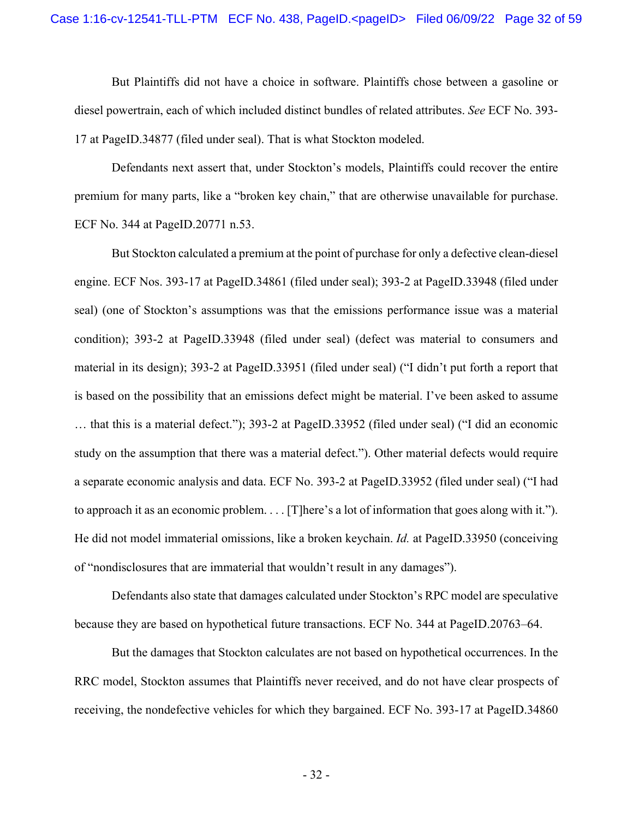But Plaintiffs did not have a choice in software. Plaintiffs chose between a gasoline or diesel powertrain, each of which included distinct bundles of related attributes. *See* ECF No. 393- 17 at PageID.34877 (filed under seal). That is what Stockton modeled.

Defendants next assert that, under Stockton's models, Plaintiffs could recover the entire premium for many parts, like a "broken key chain," that are otherwise unavailable for purchase. ECF No. 344 at PageID.20771 n.53.

But Stockton calculated a premium at the point of purchase for only a defective clean-diesel engine. ECF Nos. 393-17 at PageID.34861 (filed under seal); 393-2 at PageID.33948 (filed under seal) (one of Stockton's assumptions was that the emissions performance issue was a material condition); 393-2 at PageID.33948 (filed under seal) (defect was material to consumers and material in its design); 393-2 at PageID.33951 (filed under seal) ("I didn't put forth a report that is based on the possibility that an emissions defect might be material. I've been asked to assume … that this is a material defect."); 393-2 at PageID.33952 (filed under seal) ("I did an economic study on the assumption that there was a material defect."). Other material defects would require a separate economic analysis and data. ECF No. 393-2 at PageID.33952 (filed under seal) ("I had to approach it as an economic problem. . . . [T]here's a lot of information that goes along with it."). He did not model immaterial omissions, like a broken keychain. *Id.* at PageID.33950 (conceiving of "nondisclosures that are immaterial that wouldn't result in any damages").

Defendants also state that damages calculated under Stockton's RPC model are speculative because they are based on hypothetical future transactions. ECF No. 344 at PageID.20763–64.

But the damages that Stockton calculates are not based on hypothetical occurrences. In the RRC model, Stockton assumes that Plaintiffs never received, and do not have clear prospects of receiving, the nondefective vehicles for which they bargained. ECF No. 393-17 at PageID.34860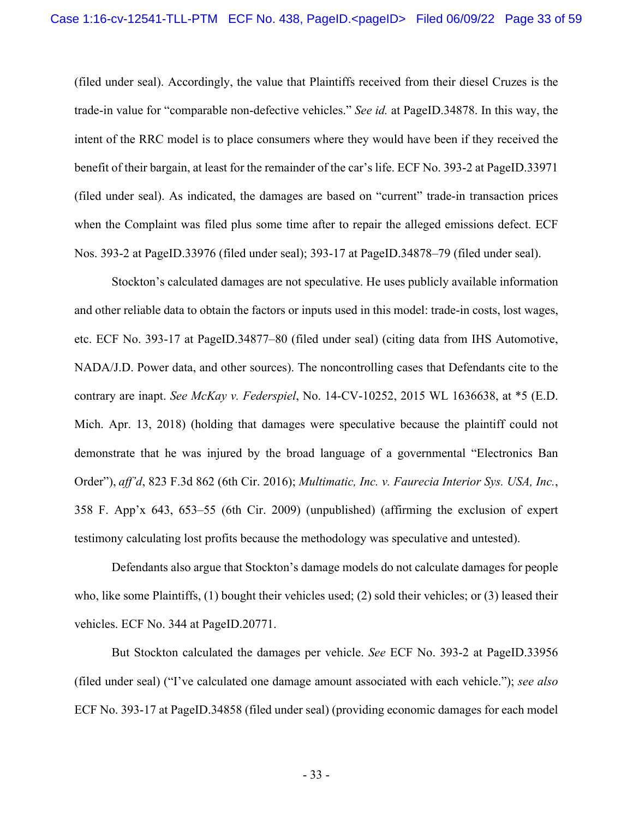(filed under seal). Accordingly, the value that Plaintiffs received from their diesel Cruzes is the trade-in value for "comparable non-defective vehicles." *See id.* at PageID.34878. In this way, the intent of the RRC model is to place consumers where they would have been if they received the benefit of their bargain, at least for the remainder of the car's life. ECF No. 393-2 at PageID.33971 (filed under seal). As indicated, the damages are based on "current" trade-in transaction prices when the Complaint was filed plus some time after to repair the alleged emissions defect. ECF Nos. 393-2 at PageID.33976 (filed under seal); 393-17 at PageID.34878–79 (filed under seal).

Stockton's calculated damages are not speculative. He uses publicly available information and other reliable data to obtain the factors or inputs used in this model: trade-in costs, lost wages, etc. ECF No. 393-17 at PageID.34877–80 (filed under seal) (citing data from IHS Automotive, NADA/J.D. Power data, and other sources). The noncontrolling cases that Defendants cite to the contrary are inapt. *See McKay v. Federspiel*, No. 14-CV-10252, 2015 WL 1636638, at \*5 (E.D. Mich. Apr. 13, 2018) (holding that damages were speculative because the plaintiff could not demonstrate that he was injured by the broad language of a governmental "Electronics Ban Order"), *aff'd*, 823 F.3d 862 (6th Cir. 2016); *Multimatic, Inc. v. Faurecia Interior Sys. USA, Inc.*, 358 F. App'x 643, 653–55 (6th Cir. 2009) (unpublished) (affirming the exclusion of expert testimony calculating lost profits because the methodology was speculative and untested).

Defendants also argue that Stockton's damage models do not calculate damages for people who, like some Plaintiffs, (1) bought their vehicles used; (2) sold their vehicles; or (3) leased their vehicles. ECF No. 344 at PageID.20771.

But Stockton calculated the damages per vehicle. *See* ECF No. 393-2 at PageID.33956 (filed under seal) ("I've calculated one damage amount associated with each vehicle."); *see also* ECF No. 393-17 at PageID.34858 (filed under seal) (providing economic damages for each model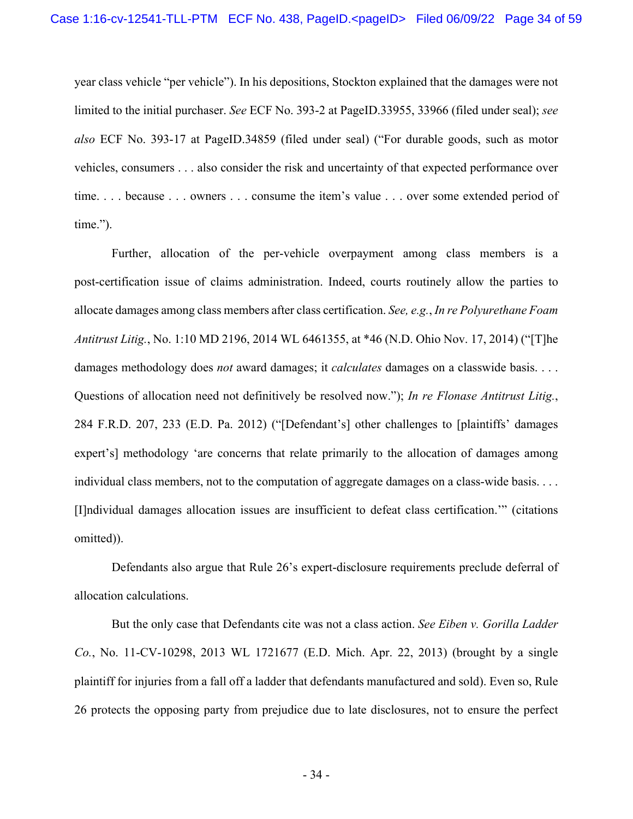year class vehicle "per vehicle"). In his depositions, Stockton explained that the damages were not limited to the initial purchaser. *See* ECF No. 393-2 at PageID.33955, 33966 (filed under seal); *see also* ECF No. 393-17 at PageID.34859 (filed under seal) ("For durable goods, such as motor vehicles, consumers . . . also consider the risk and uncertainty of that expected performance over time. . . . because . . . owners . . . consume the item's value . . . over some extended period of time.").

Further, allocation of the per-vehicle overpayment among class members is a post-certification issue of claims administration. Indeed, courts routinely allow the parties to allocate damages among class members after class certification. *See, e.g.*, *In re Polyurethane Foam Antitrust Litig.*, No. 1:10 MD 2196, 2014 WL 6461355, at \*46 (N.D. Ohio Nov. 17, 2014) ("[T]he damages methodology does *not* award damages; it *calculates* damages on a classwide basis. . . . Questions of allocation need not definitively be resolved now."); *In re Flonase Antitrust Litig.*, 284 F.R.D. 207, 233 (E.D. Pa. 2012) ("[Defendant's] other challenges to [plaintiffs' damages expert's] methodology 'are concerns that relate primarily to the allocation of damages among individual class members, not to the computation of aggregate damages on a class-wide basis. . . . [I]ndividual damages allocation issues are insufficient to defeat class certification.'" (citations omitted)).

Defendants also argue that Rule 26's expert-disclosure requirements preclude deferral of allocation calculations.

But the only case that Defendants cite was not a class action. *See Eiben v. Gorilla Ladder Co.*, No. 11-CV-10298, 2013 WL 1721677 (E.D. Mich. Apr. 22, 2013) (brought by a single plaintiff for injuries from a fall off a ladder that defendants manufactured and sold). Even so, Rule 26 protects the opposing party from prejudice due to late disclosures, not to ensure the perfect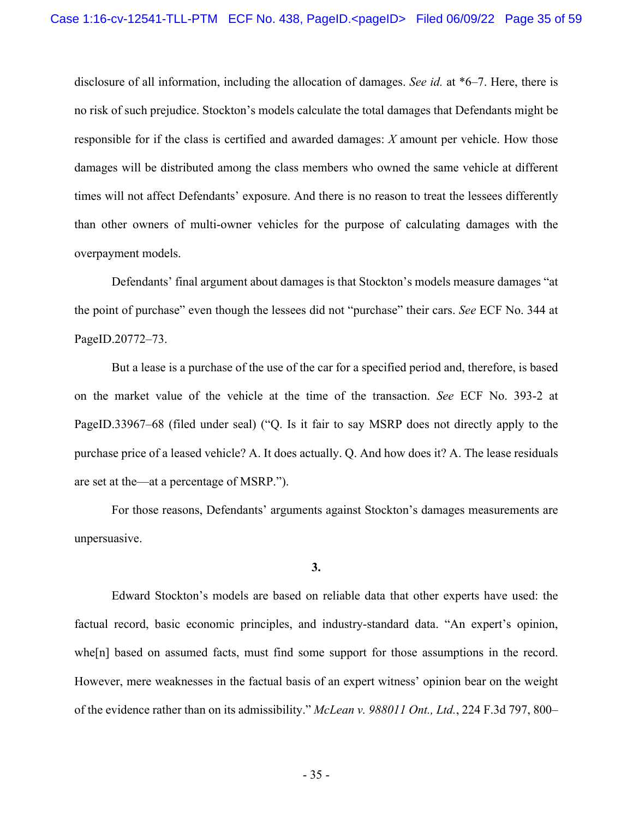disclosure of all information, including the allocation of damages. *See id.* at \*6–7. Here, there is no risk of such prejudice. Stockton's models calculate the total damages that Defendants might be responsible for if the class is certified and awarded damages: *X* amount per vehicle. How those damages will be distributed among the class members who owned the same vehicle at different times will not affect Defendants' exposure. And there is no reason to treat the lessees differently than other owners of multi-owner vehicles for the purpose of calculating damages with the overpayment models.

Defendants' final argument about damages is that Stockton's models measure damages "at the point of purchase" even though the lessees did not "purchase" their cars. *See* ECF No. 344 at PageID.20772–73.

But a lease is a purchase of the use of the car for a specified period and, therefore, is based on the market value of the vehicle at the time of the transaction. *See* ECF No. 393-2 at PageID.33967–68 (filed under seal) ("Q. Is it fair to say MSRP does not directly apply to the purchase price of a leased vehicle? A. It does actually. Q. And how does it? A. The lease residuals are set at the—at a percentage of MSRP.").

For those reasons, Defendants' arguments against Stockton's damages measurements are unpersuasive.

**3.** 

 Edward Stockton's models are based on reliable data that other experts have used: the factual record, basic economic principles, and industry-standard data. "An expert's opinion, whe[n] based on assumed facts, must find some support for those assumptions in the record. However, mere weaknesses in the factual basis of an expert witness' opinion bear on the weight of the evidence rather than on its admissibility." *McLean v. 988011 Ont., Ltd.*, 224 F.3d 797, 800–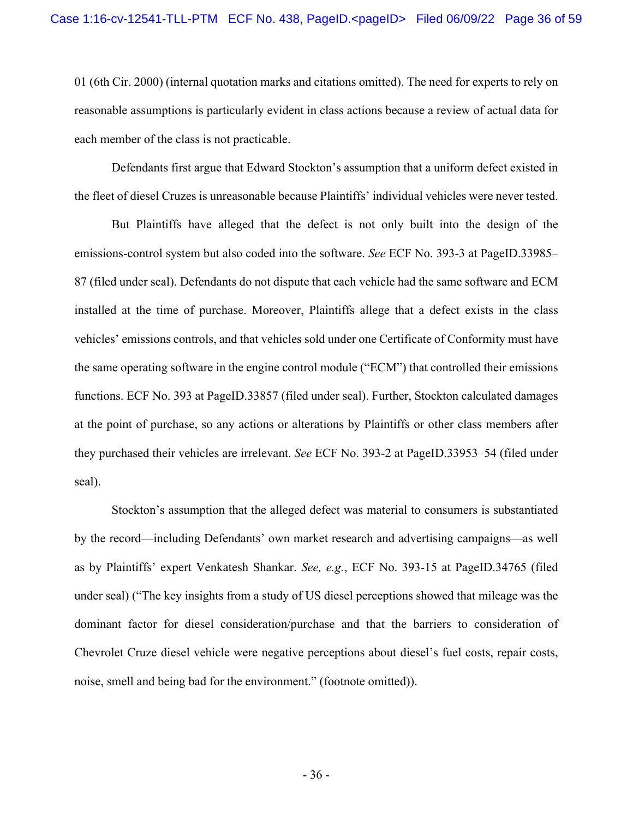01 (6th Cir. 2000) (internal quotation marks and citations omitted). The need for experts to rely on reasonable assumptions is particularly evident in class actions because a review of actual data for each member of the class is not practicable.

Defendants first argue that Edward Stockton's assumption that a uniform defect existed in the fleet of diesel Cruzes is unreasonable because Plaintiffs' individual vehicles were never tested.

But Plaintiffs have alleged that the defect is not only built into the design of the emissions-control system but also coded into the software. *See* ECF No. 393-3 at PageID.33985– 87 (filed under seal). Defendants do not dispute that each vehicle had the same software and ECM installed at the time of purchase. Moreover, Plaintiffs allege that a defect exists in the class vehicles' emissions controls, and that vehicles sold under one Certificate of Conformity must have the same operating software in the engine control module ("ECM") that controlled their emissions functions. ECF No. 393 at PageID.33857 (filed under seal). Further, Stockton calculated damages at the point of purchase, so any actions or alterations by Plaintiffs or other class members after they purchased their vehicles are irrelevant. *See* ECF No. 393-2 at PageID.33953–54 (filed under seal).

Stockton's assumption that the alleged defect was material to consumers is substantiated by the record—including Defendants' own market research and advertising campaigns—as well as by Plaintiffs' expert Venkatesh Shankar. *See, e.g.*, ECF No. 393-15 at PageID.34765 (filed under seal) ("The key insights from a study of US diesel perceptions showed that mileage was the dominant factor for diesel consideration/purchase and that the barriers to consideration of Chevrolet Cruze diesel vehicle were negative perceptions about diesel's fuel costs, repair costs, noise, smell and being bad for the environment." (footnote omitted)).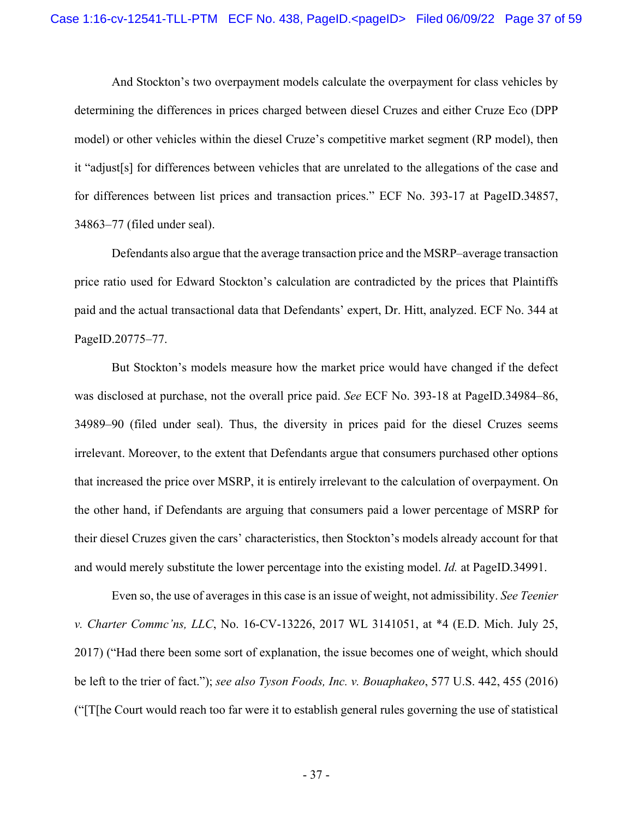And Stockton's two overpayment models calculate the overpayment for class vehicles by determining the differences in prices charged between diesel Cruzes and either Cruze Eco (DPP model) or other vehicles within the diesel Cruze's competitive market segment (RP model), then it "adjust[s] for differences between vehicles that are unrelated to the allegations of the case and for differences between list prices and transaction prices." ECF No. 393-17 at PageID.34857, 34863–77 (filed under seal).

Defendants also argue that the average transaction price and the MSRP–average transaction price ratio used for Edward Stockton's calculation are contradicted by the prices that Plaintiffs paid and the actual transactional data that Defendants' expert, Dr. Hitt, analyzed. ECF No. 344 at PageID.20775–77.

But Stockton's models measure how the market price would have changed if the defect was disclosed at purchase, not the overall price paid. *See* ECF No. 393-18 at PageID.34984–86, 34989–90 (filed under seal). Thus, the diversity in prices paid for the diesel Cruzes seems irrelevant. Moreover, to the extent that Defendants argue that consumers purchased other options that increased the price over MSRP, it is entirely irrelevant to the calculation of overpayment. On the other hand, if Defendants are arguing that consumers paid a lower percentage of MSRP for their diesel Cruzes given the cars' characteristics, then Stockton's models already account for that and would merely substitute the lower percentage into the existing model. *Id.* at PageID.34991.

Even so, the use of averages in this case is an issue of weight, not admissibility. *See Teenier v. Charter Commc'ns, LLC*, No. 16-CV-13226, 2017 WL 3141051, at \*4 (E.D. Mich. July 25, 2017) ("Had there been some sort of explanation, the issue becomes one of weight, which should be left to the trier of fact."); *see also Tyson Foods, Inc. v. Bouaphakeo*, 577 U.S. 442, 455 (2016) ("[T[he Court would reach too far were it to establish general rules governing the use of statistical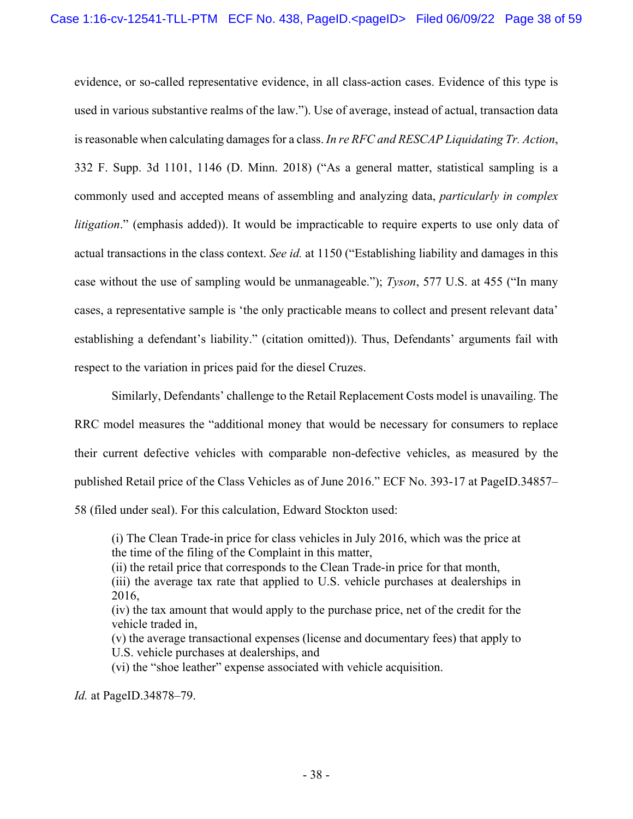evidence, or so-called representative evidence, in all class-action cases. Evidence of this type is used in various substantive realms of the law."). Use of average, instead of actual, transaction data is reasonable when calculating damages for a class. *In re RFC and RESCAP Liquidating Tr. Action*, 332 F. Supp. 3d 1101, 1146 (D. Minn. 2018) ("As a general matter, statistical sampling is a commonly used and accepted means of assembling and analyzing data, *particularly in complex litigation*." (emphasis added)). It would be impracticable to require experts to use only data of actual transactions in the class context. *See id.* at 1150 ("Establishing liability and damages in this case without the use of sampling would be unmanageable."); *Tyson*, 577 U.S. at 455 ("In many cases, a representative sample is 'the only practicable means to collect and present relevant data' establishing a defendant's liability." (citation omitted)). Thus, Defendants' arguments fail with respect to the variation in prices paid for the diesel Cruzes.

Similarly, Defendants' challenge to the Retail Replacement Costs model is unavailing. The RRC model measures the "additional money that would be necessary for consumers to replace their current defective vehicles with comparable non-defective vehicles, as measured by the published Retail price of the Class Vehicles as of June 2016." ECF No. 393-17 at PageID.34857– 58 (filed under seal). For this calculation, Edward Stockton used:

(i) The Clean Trade-in price for class vehicles in July 2016, which was the price at the time of the filing of the Complaint in this matter,

- (ii) the retail price that corresponds to the Clean Trade-in price for that month,
- (iii) the average tax rate that applied to U.S. vehicle purchases at dealerships in 2016,

(iv) the tax amount that would apply to the purchase price, net of the credit for the vehicle traded in,

(v) the average transactional expenses (license and documentary fees) that apply to U.S. vehicle purchases at dealerships, and

(vi) the "shoe leather" expense associated with vehicle acquisition.

*Id.* at PageID.34878–79.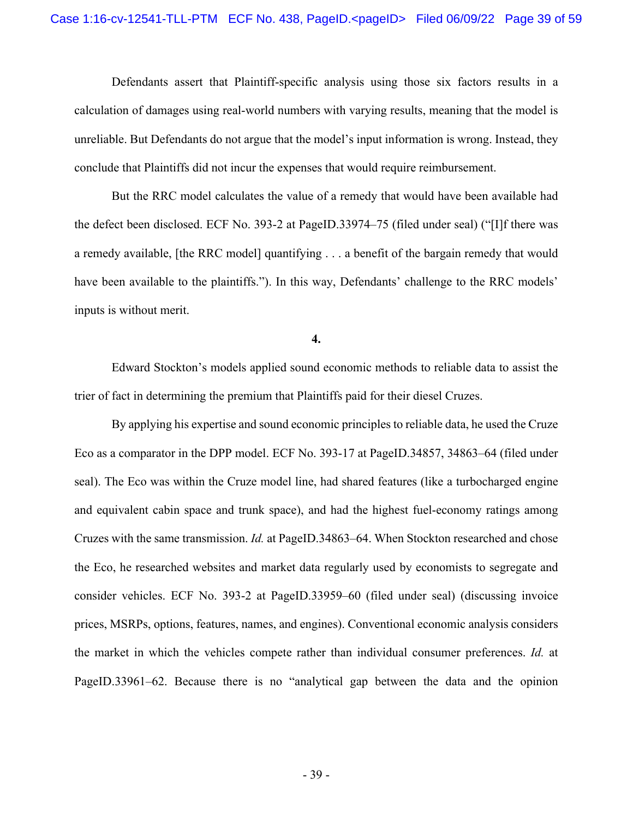Defendants assert that Plaintiff-specific analysis using those six factors results in a calculation of damages using real-world numbers with varying results, meaning that the model is unreliable. But Defendants do not argue that the model's input information is wrong. Instead, they conclude that Plaintiffs did not incur the expenses that would require reimbursement.

But the RRC model calculates the value of a remedy that would have been available had the defect been disclosed. ECF No. 393-2 at PageID.33974–75 (filed under seal) ("[I]f there was a remedy available, [the RRC model] quantifying . . . a benefit of the bargain remedy that would have been available to the plaintiffs."). In this way, Defendants' challenge to the RRC models' inputs is without merit.

**4.** 

 Edward Stockton's models applied sound economic methods to reliable data to assist the trier of fact in determining the premium that Plaintiffs paid for their diesel Cruzes.

By applying his expertise and sound economic principles to reliable data, he used the Cruze Eco as a comparator in the DPP model. ECF No. 393-17 at PageID.34857, 34863–64 (filed under seal). The Eco was within the Cruze model line, had shared features (like a turbocharged engine and equivalent cabin space and trunk space), and had the highest fuel-economy ratings among Cruzes with the same transmission. *Id.* at PageID.34863–64. When Stockton researched and chose the Eco, he researched websites and market data regularly used by economists to segregate and consider vehicles. ECF No. 393-2 at PageID.33959–60 (filed under seal) (discussing invoice prices, MSRPs, options, features, names, and engines). Conventional economic analysis considers the market in which the vehicles compete rather than individual consumer preferences. *Id.* at PageID.33961–62. Because there is no "analytical gap between the data and the opinion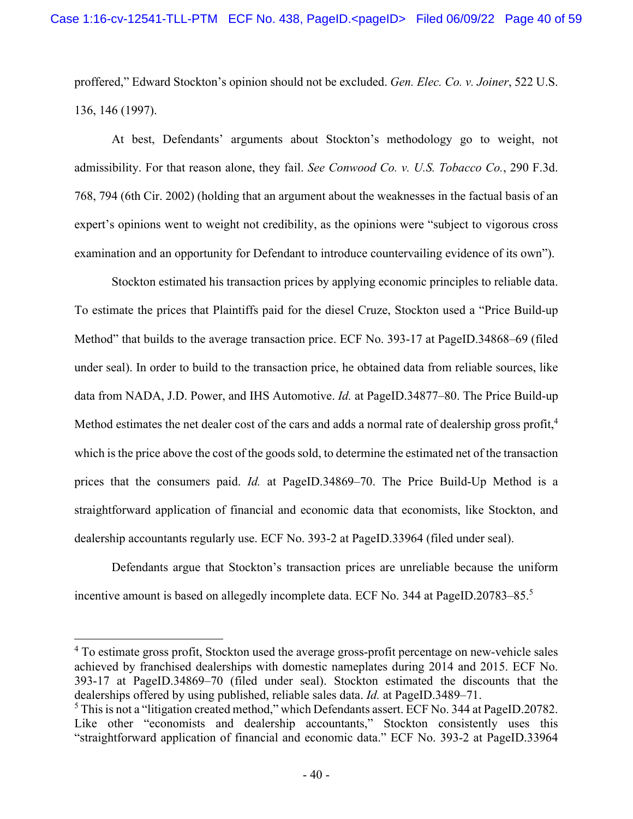proffered," Edward Stockton's opinion should not be excluded. *Gen. Elec. Co. v. Joiner*, 522 U.S. 136, 146 (1997).

 At best, Defendants' arguments about Stockton's methodology go to weight, not admissibility. For that reason alone, they fail. *See Conwood Co. v. U.S. Tobacco Co.*, 290 F.3d. 768, 794 (6th Cir. 2002) (holding that an argument about the weaknesses in the factual basis of an expert's opinions went to weight not credibility, as the opinions were "subject to vigorous cross examination and an opportunity for Defendant to introduce countervailing evidence of its own").

Stockton estimated his transaction prices by applying economic principles to reliable data. To estimate the prices that Plaintiffs paid for the diesel Cruze, Stockton used a "Price Build-up Method" that builds to the average transaction price. ECF No. 393-17 at PageID.34868–69 (filed under seal). In order to build to the transaction price, he obtained data from reliable sources, like data from NADA, J.D. Power, and IHS Automotive. *Id.* at PageID.34877–80. The Price Build-up Method estimates the net dealer cost of the cars and adds a normal rate of dealership gross profit,  $4\overline{ }$ which is the price above the cost of the goods sold, to determine the estimated net of the transaction prices that the consumers paid. *Id.* at PageID.34869–70. The Price Build-Up Method is a straightforward application of financial and economic data that economists, like Stockton, and dealership accountants regularly use. ECF No. 393-2 at PageID.33964 (filed under seal).

Defendants argue that Stockton's transaction prices are unreliable because the uniform incentive amount is based on allegedly incomplete data. ECF No. 344 at PageID.20783-85.<sup>5</sup>

<sup>4</sup> To estimate gross profit, Stockton used the average gross-profit percentage on new-vehicle sales achieved by franchised dealerships with domestic nameplates during 2014 and 2015. ECF No. 393-17 at PageID.34869–70 (filed under seal). Stockton estimated the discounts that the dealerships offered by using published, reliable sales data. *Id.* at PageID.3489–71.

 $5$  This is not a "litigation created method," which Defendants assert. ECF No. 344 at PageID.20782. Like other "economists and dealership accountants," Stockton consistently uses this "straightforward application of financial and economic data." ECF No. 393-2 at PageID.33964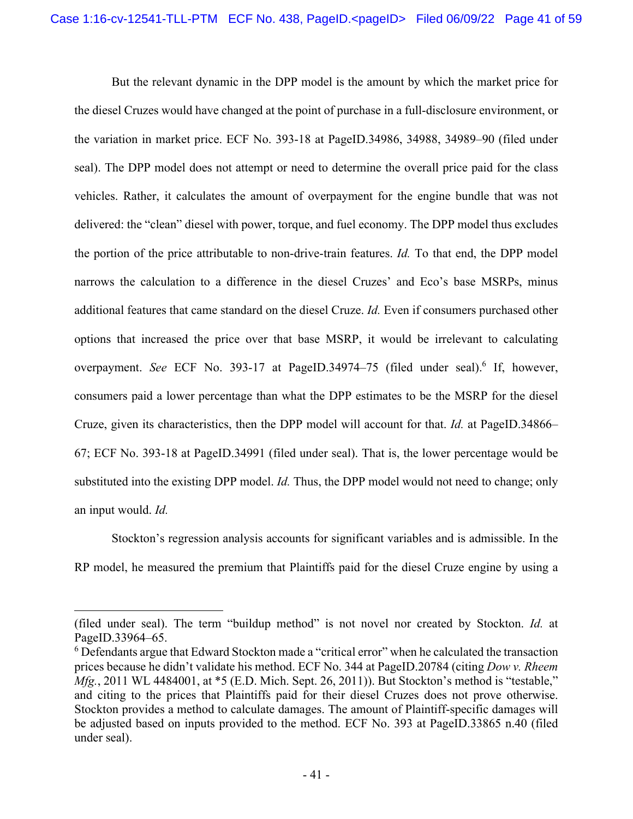But the relevant dynamic in the DPP model is the amount by which the market price for the diesel Cruzes would have changed at the point of purchase in a full-disclosure environment, or the variation in market price. ECF No. 393-18 at PageID.34986, 34988, 34989–90 (filed under seal). The DPP model does not attempt or need to determine the overall price paid for the class vehicles. Rather, it calculates the amount of overpayment for the engine bundle that was not delivered: the "clean" diesel with power, torque, and fuel economy. The DPP model thus excludes the portion of the price attributable to non-drive-train features. *Id.* To that end, the DPP model narrows the calculation to a difference in the diesel Cruzes' and Eco's base MSRPs, minus additional features that came standard on the diesel Cruze. *Id.* Even if consumers purchased other options that increased the price over that base MSRP, it would be irrelevant to calculating overpayment. See ECF No. 393-17 at PageID.34974-75 (filed under seal).<sup>6</sup> If, however, consumers paid a lower percentage than what the DPP estimates to be the MSRP for the diesel Cruze, given its characteristics, then the DPP model will account for that. *Id.* at PageID.34866– 67; ECF No. 393-18 at PageID.34991 (filed under seal). That is, the lower percentage would be substituted into the existing DPP model. *Id.* Thus, the DPP model would not need to change; only an input would. *Id.*

Stockton's regression analysis accounts for significant variables and is admissible. In the RP model, he measured the premium that Plaintiffs paid for the diesel Cruze engine by using a

<sup>(</sup>filed under seal). The term "buildup method" is not novel nor created by Stockton. *Id.* at PageID.33964–65.

 $6$  Defendants argue that Edward Stockton made a "critical error" when he calculated the transaction prices because he didn't validate his method. ECF No. 344 at PageID.20784 (citing *Dow v. Rheem Mfg.*, 2011 WL 4484001, at \*5 (E.D. Mich. Sept. 26, 2011)). But Stockton's method is "testable," and citing to the prices that Plaintiffs paid for their diesel Cruzes does not prove otherwise. Stockton provides a method to calculate damages. The amount of Plaintiff-specific damages will be adjusted based on inputs provided to the method. ECF No. 393 at PageID.33865 n.40 (filed under seal).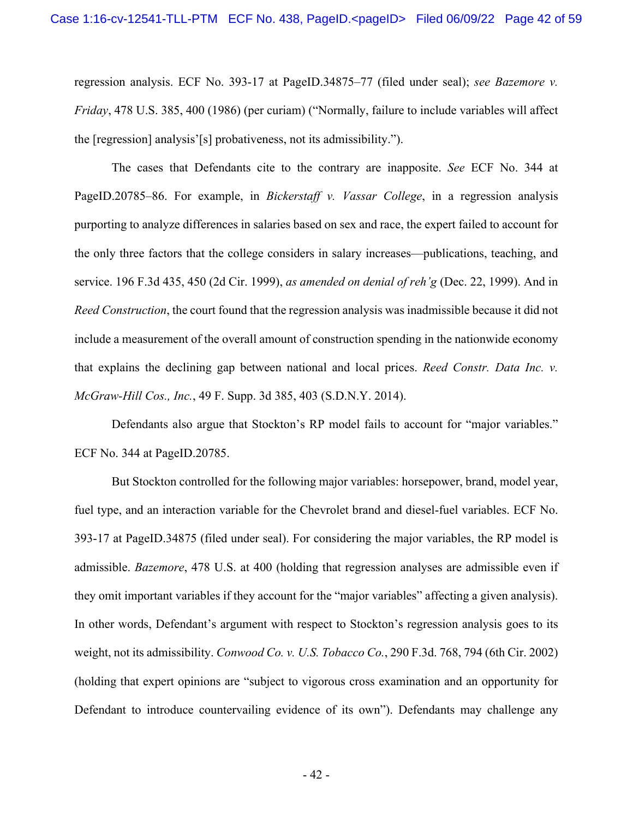regression analysis. ECF No. 393-17 at PageID.34875–77 (filed under seal); *see Bazemore v. Friday*, 478 U.S. 385, 400 (1986) (per curiam) ("Normally, failure to include variables will affect the [regression] analysis'[s] probativeness, not its admissibility.").

The cases that Defendants cite to the contrary are inapposite. *See* ECF No. 344 at PageID.20785–86. For example, in *Bickerstaff v. Vassar College*, in a regression analysis purporting to analyze differences in salaries based on sex and race, the expert failed to account for the only three factors that the college considers in salary increases—publications, teaching, and service. 196 F.3d 435, 450 (2d Cir. 1999), *as amended on denial of reh'g* (Dec. 22, 1999). And in *Reed Construction*, the court found that the regression analysis was inadmissible because it did not include a measurement of the overall amount of construction spending in the nationwide economy that explains the declining gap between national and local prices. *Reed Constr. Data Inc. v. McGraw-Hill Cos., Inc.*, 49 F. Supp. 3d 385, 403 (S.D.N.Y. 2014).

Defendants also argue that Stockton's RP model fails to account for "major variables." ECF No. 344 at PageID.20785.

But Stockton controlled for the following major variables: horsepower, brand, model year, fuel type, and an interaction variable for the Chevrolet brand and diesel-fuel variables. ECF No. 393-17 at PageID.34875 (filed under seal). For considering the major variables, the RP model is admissible. *Bazemore*, 478 U.S. at 400 (holding that regression analyses are admissible even if they omit important variables if they account for the "major variables" affecting a given analysis). In other words, Defendant's argument with respect to Stockton's regression analysis goes to its weight, not its admissibility. *Conwood Co. v. U.S. Tobacco Co.*, 290 F.3d. 768, 794 (6th Cir. 2002) (holding that expert opinions are "subject to vigorous cross examination and an opportunity for Defendant to introduce countervailing evidence of its own"). Defendants may challenge any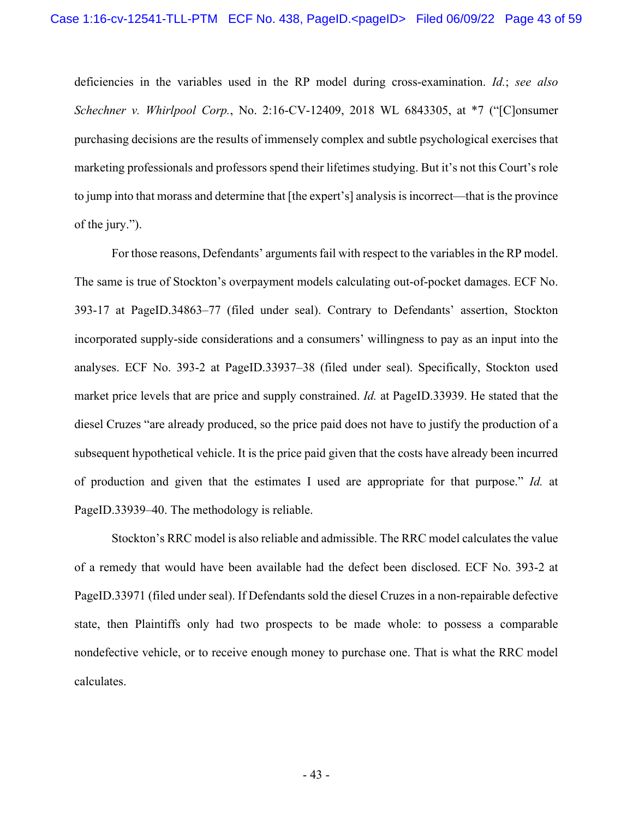deficiencies in the variables used in the RP model during cross-examination. *Id.*; *see also Schechner v. Whirlpool Corp.*, No. 2:16-CV-12409, 2018 WL 6843305, at \*7 ("[C]onsumer purchasing decisions are the results of immensely complex and subtle psychological exercises that marketing professionals and professors spend their lifetimes studying. But it's not this Court's role to jump into that morass and determine that [the expert's] analysis is incorrect—that is the province of the jury.").

For those reasons, Defendants' arguments fail with respect to the variables in the RP model. The same is true of Stockton's overpayment models calculating out-of-pocket damages. ECF No. 393-17 at PageID.34863–77 (filed under seal). Contrary to Defendants' assertion, Stockton incorporated supply-side considerations and a consumers' willingness to pay as an input into the analyses. ECF No. 393-2 at PageID.33937–38 (filed under seal). Specifically, Stockton used market price levels that are price and supply constrained. *Id.* at PageID.33939. He stated that the diesel Cruzes "are already produced, so the price paid does not have to justify the production of a subsequent hypothetical vehicle. It is the price paid given that the costs have already been incurred of production and given that the estimates I used are appropriate for that purpose." *Id.* at PageID.33939–40. The methodology is reliable.

Stockton's RRC model is also reliable and admissible. The RRC model calculates the value of a remedy that would have been available had the defect been disclosed. ECF No. 393-2 at PageID.33971 (filed under seal). If Defendants sold the diesel Cruzes in a non-repairable defective state, then Plaintiffs only had two prospects to be made whole: to possess a comparable nondefective vehicle, or to receive enough money to purchase one. That is what the RRC model calculates.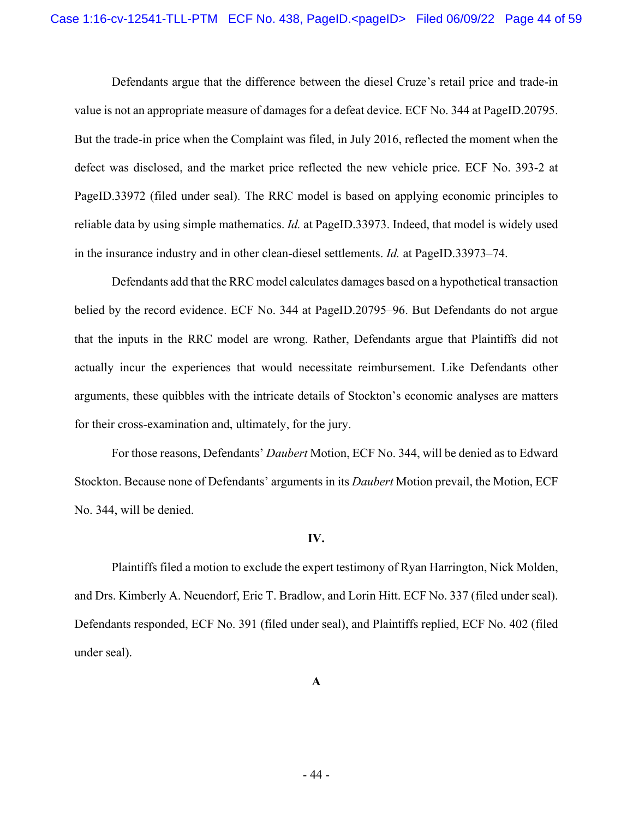Defendants argue that the difference between the diesel Cruze's retail price and trade-in value is not an appropriate measure of damages for a defeat device. ECF No. 344 at PageID.20795. But the trade-in price when the Complaint was filed, in July 2016, reflected the moment when the defect was disclosed, and the market price reflected the new vehicle price. ECF No. 393-2 at PageID.33972 (filed under seal). The RRC model is based on applying economic principles to reliable data by using simple mathematics. *Id.* at PageID.33973. Indeed, that model is widely used in the insurance industry and in other clean-diesel settlements. *Id.* at PageID.33973–74.

Defendants add that the RRC model calculates damages based on a hypothetical transaction belied by the record evidence. ECF No. 344 at PageID.20795–96. But Defendants do not argue that the inputs in the RRC model are wrong. Rather, Defendants argue that Plaintiffs did not actually incur the experiences that would necessitate reimbursement. Like Defendants other arguments, these quibbles with the intricate details of Stockton's economic analyses are matters for their cross-examination and, ultimately, for the jury.

For those reasons, Defendants' *Daubert* Motion, ECF No. 344, will be denied as to Edward Stockton. Because none of Defendants' arguments in its *Daubert* Motion prevail, the Motion, ECF No. 344, will be denied.

## **IV.**

Plaintiffs filed a motion to exclude the expert testimony of Ryan Harrington, Nick Molden, and Drs. Kimberly A. Neuendorf, Eric T. Bradlow, and Lorin Hitt. ECF No. 337 (filed under seal). Defendants responded, ECF No. 391 (filed under seal), and Plaintiffs replied, ECF No. 402 (filed under seal).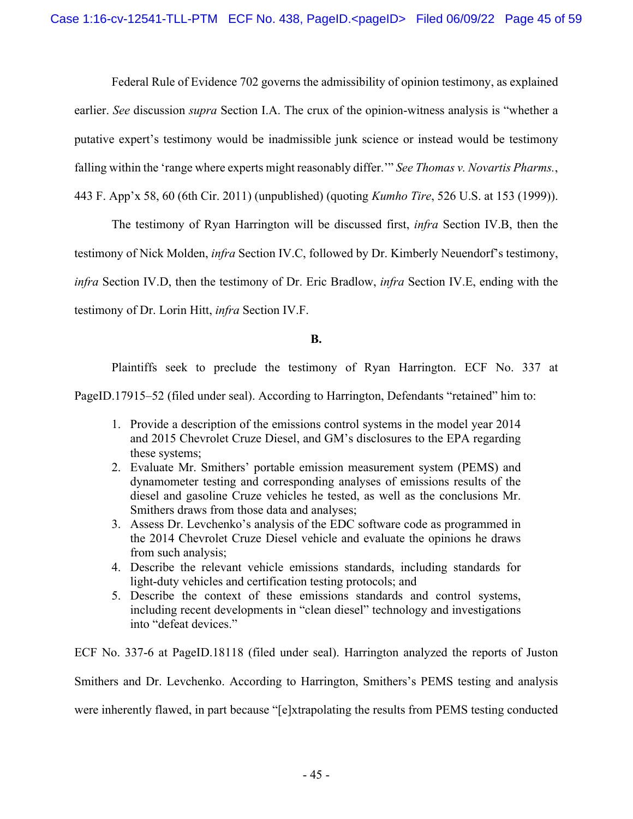Federal Rule of Evidence 702 governs the admissibility of opinion testimony, as explained earlier. *See* discussion *supra* Section I.A. The crux of the opinion-witness analysis is "whether a putative expert's testimony would be inadmissible junk science or instead would be testimony falling within the 'range where experts might reasonably differ.'" *See Thomas v. Novartis Pharms.*, 443 F. App'x 58, 60 (6th Cir. 2011) (unpublished) (quoting *Kumho Tire*, 526 U.S. at 153 (1999)).

The testimony of Ryan Harrington will be discussed first, *infra* Section IV.B, then the testimony of Nick Molden, *infra* Section IV.C, followed by Dr. Kimberly Neuendorf's testimony, *infra* Section IV.D, then the testimony of Dr. Eric Bradlow, *infra* Section IV.E, ending with the testimony of Dr. Lorin Hitt, *infra* Section IV.F.

# **B.**

Plaintiffs seek to preclude the testimony of Ryan Harrington. ECF No. 337 at

PageID.17915–52 (filed under seal). According to Harrington, Defendants "retained" him to:

- 1. Provide a description of the emissions control systems in the model year 2014 and 2015 Chevrolet Cruze Diesel, and GM's disclosures to the EPA regarding these systems;
- 2. Evaluate Mr. Smithers' portable emission measurement system (PEMS) and dynamometer testing and corresponding analyses of emissions results of the diesel and gasoline Cruze vehicles he tested, as well as the conclusions Mr. Smithers draws from those data and analyses;
- 3. Assess Dr. Levchenko's analysis of the EDC software code as programmed in the 2014 Chevrolet Cruze Diesel vehicle and evaluate the opinions he draws from such analysis;
- 4. Describe the relevant vehicle emissions standards, including standards for light-duty vehicles and certification testing protocols; and
- 5. Describe the context of these emissions standards and control systems, including recent developments in "clean diesel" technology and investigations into "defeat devices."

ECF No. 337-6 at PageID.18118 (filed under seal). Harrington analyzed the reports of Juston Smithers and Dr. Levchenko. According to Harrington, Smithers's PEMS testing and analysis were inherently flawed, in part because "[e]xtrapolating the results from PEMS testing conducted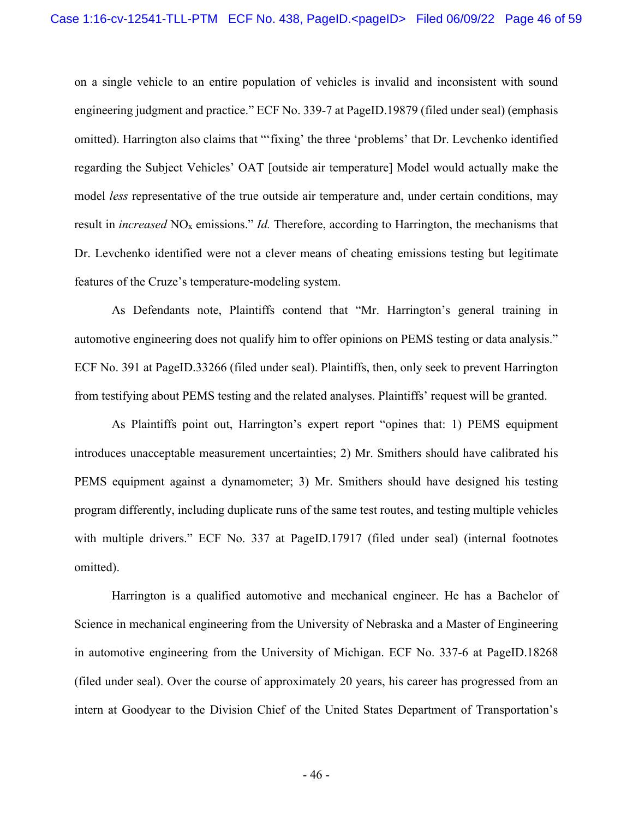on a single vehicle to an entire population of vehicles is invalid and inconsistent with sound engineering judgment and practice." ECF No. 339-7 at PageID.19879 (filed under seal) (emphasis omitted). Harrington also claims that "'fixing' the three 'problems' that Dr. Levchenko identified regarding the Subject Vehicles' OAT [outside air temperature] Model would actually make the model *less* representative of the true outside air temperature and, under certain conditions, may result in *increased* NOx emissions." *Id.* Therefore, according to Harrington, the mechanisms that Dr. Levchenko identified were not a clever means of cheating emissions testing but legitimate features of the Cruze's temperature-modeling system.

As Defendants note, Plaintiffs contend that "Mr. Harrington's general training in automotive engineering does not qualify him to offer opinions on PEMS testing or data analysis." ECF No. 391 at PageID.33266 (filed under seal). Plaintiffs, then, only seek to prevent Harrington from testifying about PEMS testing and the related analyses. Plaintiffs' request will be granted.

As Plaintiffs point out, Harrington's expert report "opines that: 1) PEMS equipment introduces unacceptable measurement uncertainties; 2) Mr. Smithers should have calibrated his PEMS equipment against a dynamometer; 3) Mr. Smithers should have designed his testing program differently, including duplicate runs of the same test routes, and testing multiple vehicles with multiple drivers." ECF No. 337 at PageID.17917 (filed under seal) (internal footnotes omitted).

Harrington is a qualified automotive and mechanical engineer. He has a Bachelor of Science in mechanical engineering from the University of Nebraska and a Master of Engineering in automotive engineering from the University of Michigan. ECF No. 337-6 at PageID.18268 (filed under seal). Over the course of approximately 20 years, his career has progressed from an intern at Goodyear to the Division Chief of the United States Department of Transportation's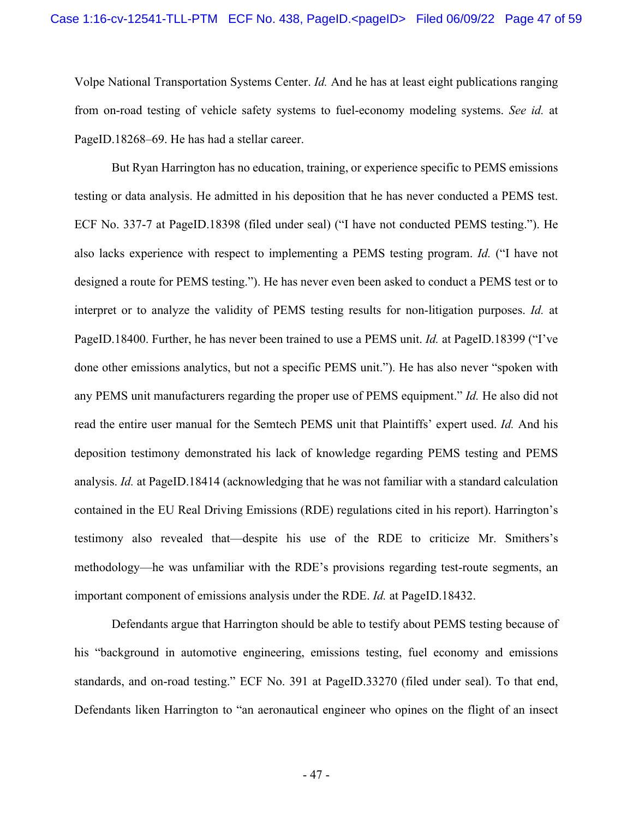Volpe National Transportation Systems Center. *Id.* And he has at least eight publications ranging from on-road testing of vehicle safety systems to fuel-economy modeling systems. *See id.* at PageID.18268–69. He has had a stellar career.

 But Ryan Harrington has no education, training, or experience specific to PEMS emissions testing or data analysis. He admitted in his deposition that he has never conducted a PEMS test. ECF No. 337-7 at PageID.18398 (filed under seal) ("I have not conducted PEMS testing."). He also lacks experience with respect to implementing a PEMS testing program. *Id.* ("I have not designed a route for PEMS testing."). He has never even been asked to conduct a PEMS test or to interpret or to analyze the validity of PEMS testing results for non-litigation purposes. *Id.* at PageID.18400. Further, he has never been trained to use a PEMS unit. *Id.* at PageID.18399 ("I've done other emissions analytics, but not a specific PEMS unit."). He has also never "spoken with any PEMS unit manufacturers regarding the proper use of PEMS equipment." *Id.* He also did not read the entire user manual for the Semtech PEMS unit that Plaintiffs' expert used. *Id.* And his deposition testimony demonstrated his lack of knowledge regarding PEMS testing and PEMS analysis. *Id.* at PageID.18414 (acknowledging that he was not familiar with a standard calculation contained in the EU Real Driving Emissions (RDE) regulations cited in his report). Harrington's testimony also revealed that—despite his use of the RDE to criticize Mr. Smithers's methodology—he was unfamiliar with the RDE's provisions regarding test-route segments, an important component of emissions analysis under the RDE. *Id.* at PageID.18432.

Defendants argue that Harrington should be able to testify about PEMS testing because of his "background in automotive engineering, emissions testing, fuel economy and emissions standards, and on-road testing." ECF No. 391 at PageID.33270 (filed under seal). To that end, Defendants liken Harrington to "an aeronautical engineer who opines on the flight of an insect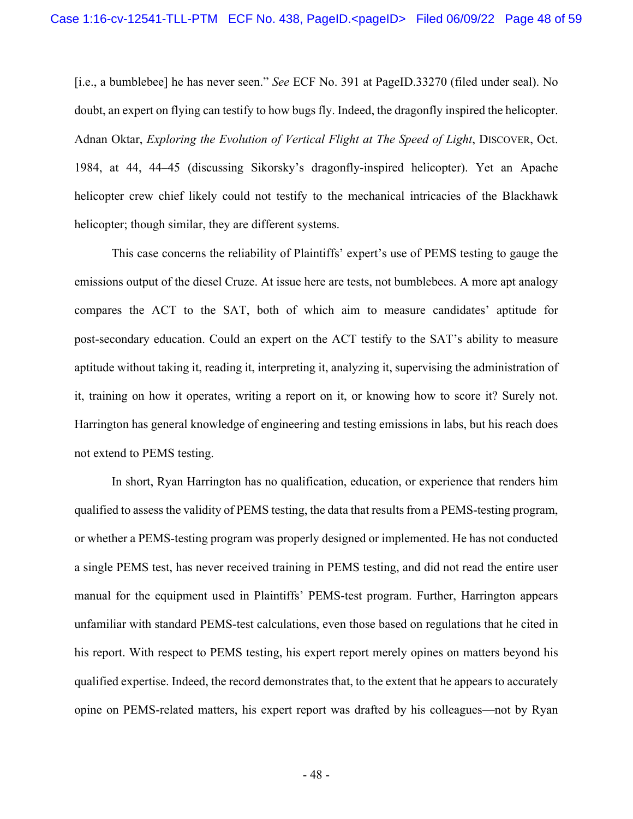[i.e., a bumblebee] he has never seen." *See* ECF No. 391 at PageID.33270 (filed under seal). No doubt, an expert on flying can testify to how bugs fly. Indeed, the dragonfly inspired the helicopter. Adnan Oktar, *Exploring the Evolution of Vertical Flight at The Speed of Light*, DISCOVER, Oct. 1984, at 44, 44–45 (discussing Sikorsky's dragonfly-inspired helicopter). Yet an Apache helicopter crew chief likely could not testify to the mechanical intricacies of the Blackhawk helicopter; though similar, they are different systems.

This case concerns the reliability of Plaintiffs' expert's use of PEMS testing to gauge the emissions output of the diesel Cruze. At issue here are tests, not bumblebees. A more apt analogy compares the ACT to the SAT, both of which aim to measure candidates' aptitude for post-secondary education. Could an expert on the ACT testify to the SAT's ability to measure aptitude without taking it, reading it, interpreting it, analyzing it, supervising the administration of it, training on how it operates, writing a report on it, or knowing how to score it? Surely not. Harrington has general knowledge of engineering and testing emissions in labs, but his reach does not extend to PEMS testing.

In short, Ryan Harrington has no qualification, education, or experience that renders him qualified to assess the validity of PEMS testing, the data that results from a PEMS-testing program, or whether a PEMS-testing program was properly designed or implemented. He has not conducted a single PEMS test, has never received training in PEMS testing, and did not read the entire user manual for the equipment used in Plaintiffs' PEMS-test program. Further, Harrington appears unfamiliar with standard PEMS-test calculations, even those based on regulations that he cited in his report. With respect to PEMS testing, his expert report merely opines on matters beyond his qualified expertise. Indeed, the record demonstrates that, to the extent that he appears to accurately opine on PEMS-related matters, his expert report was drafted by his colleagues—not by Ryan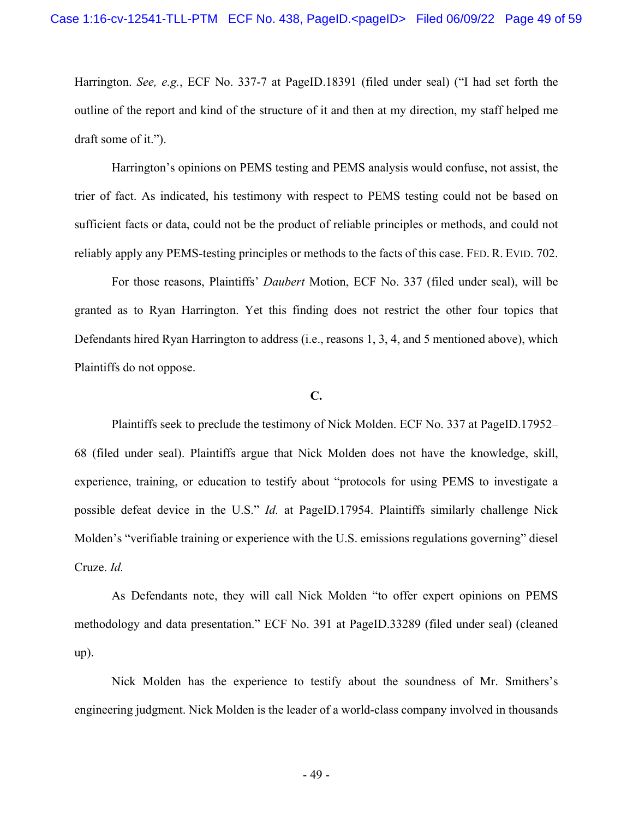Harrington. *See, e.g.*, ECF No. 337-7 at PageID.18391 (filed under seal) ("I had set forth the outline of the report and kind of the structure of it and then at my direction, my staff helped me draft some of it.").

Harrington's opinions on PEMS testing and PEMS analysis would confuse, not assist, the trier of fact. As indicated, his testimony with respect to PEMS testing could not be based on sufficient facts or data, could not be the product of reliable principles or methods, and could not reliably apply any PEMS-testing principles or methods to the facts of this case. FED. R. EVID. 702.

For those reasons, Plaintiffs' *Daubert* Motion, ECF No. 337 (filed under seal), will be granted as to Ryan Harrington. Yet this finding does not restrict the other four topics that Defendants hired Ryan Harrington to address (i.e., reasons 1, 3, 4, and 5 mentioned above), which Plaintiffs do not oppose.

### **C.**

Plaintiffs seek to preclude the testimony of Nick Molden. ECF No. 337 at PageID.17952– 68 (filed under seal). Plaintiffs argue that Nick Molden does not have the knowledge, skill, experience, training, or education to testify about "protocols for using PEMS to investigate a possible defeat device in the U.S." *Id.* at PageID.17954. Plaintiffs similarly challenge Nick Molden's "verifiable training or experience with the U.S. emissions regulations governing" diesel Cruze. *Id.*

As Defendants note, they will call Nick Molden "to offer expert opinions on PEMS methodology and data presentation." ECF No. 391 at PageID.33289 (filed under seal) (cleaned up).

Nick Molden has the experience to testify about the soundness of Mr. Smithers's engineering judgment. Nick Molden is the leader of a world-class company involved in thousands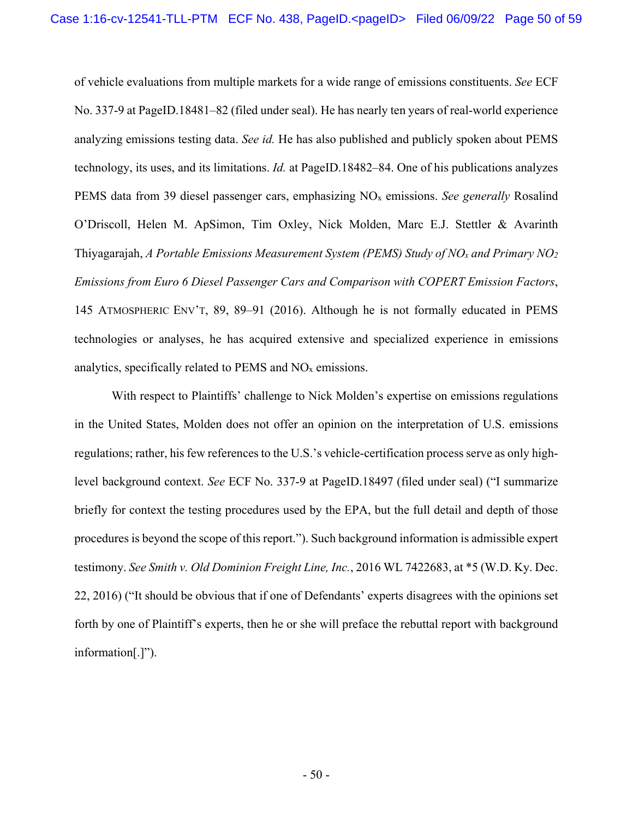of vehicle evaluations from multiple markets for a wide range of emissions constituents. *See* ECF No. 337-9 at PageID.18481–82 (filed under seal). He has nearly ten years of real-world experience analyzing emissions testing data. *See id.* He has also published and publicly spoken about PEMS technology, its uses, and its limitations. *Id.* at PageID.18482–84. One of his publications analyzes PEMS data from 39 diesel passenger cars, emphasizing NOx emissions. *See generally* Rosalind O'Driscoll, Helen M. ApSimon, Tim Oxley, Nick Molden, Marc E.J. Stettler & Avarinth Thiyagarajah, *A Portable Emissions Measurement System (PEMS) Study of NOx and Primary NO2 Emissions from Euro 6 Diesel Passenger Cars and Comparison with COPERT Emission Factors*, 145 ATMOSPHERIC ENV'T, 89, 89–91 (2016). Although he is not formally educated in PEMS technologies or analyses, he has acquired extensive and specialized experience in emissions analytics, specifically related to PEMS and NOx emissions.

With respect to Plaintiffs' challenge to Nick Molden's expertise on emissions regulations in the United States, Molden does not offer an opinion on the interpretation of U.S. emissions regulations; rather, his few references to the U.S.'s vehicle-certification process serve as only highlevel background context. *See* ECF No. 337-9 at PageID.18497 (filed under seal) ("I summarize briefly for context the testing procedures used by the EPA, but the full detail and depth of those procedures is beyond the scope of this report."). Such background information is admissible expert testimony. *See Smith v. Old Dominion Freight Line, Inc.*, 2016 WL 7422683, at \*5 (W.D. Ky. Dec. 22, 2016) ("It should be obvious that if one of Defendants' experts disagrees with the opinions set forth by one of Plaintiff's experts, then he or she will preface the rebuttal report with background information[.]").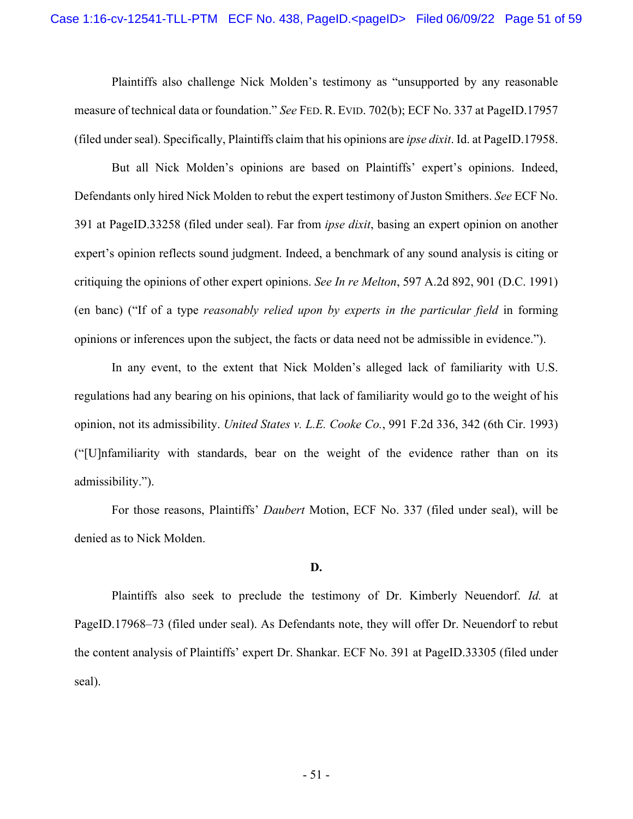Plaintiffs also challenge Nick Molden's testimony as "unsupported by any reasonable measure of technical data or foundation." *See* FED.R. EVID. 702(b); ECF No. 337 at PageID.17957 (filed under seal). Specifically, Plaintiffs claim that his opinions are *ipse dixit*. Id. at PageID.17958.

But all Nick Molden's opinions are based on Plaintiffs' expert's opinions. Indeed, Defendants only hired Nick Molden to rebut the expert testimony of Juston Smithers. *See* ECF No. 391 at PageID.33258 (filed under seal). Far from *ipse dixit*, basing an expert opinion on another expert's opinion reflects sound judgment. Indeed, a benchmark of any sound analysis is citing or critiquing the opinions of other expert opinions. *See In re Melton*, 597 A.2d 892, 901 (D.C. 1991) (en banc) ("If of a type *reasonably relied upon by experts in the particular field* in forming opinions or inferences upon the subject, the facts or data need not be admissible in evidence.").

In any event, to the extent that Nick Molden's alleged lack of familiarity with U.S. regulations had any bearing on his opinions, that lack of familiarity would go to the weight of his opinion, not its admissibility. *United States v. L.E. Cooke Co.*, 991 F.2d 336, 342 (6th Cir. 1993) ("[U]nfamiliarity with standards, bear on the weight of the evidence rather than on its admissibility.").

For those reasons, Plaintiffs' *Daubert* Motion, ECF No. 337 (filed under seal), will be denied as to Nick Molden.

#### **D.**

Plaintiffs also seek to preclude the testimony of Dr. Kimberly Neuendorf. *Id.* at PageID.17968–73 (filed under seal). As Defendants note, they will offer Dr. Neuendorf to rebut the content analysis of Plaintiffs' expert Dr. Shankar. ECF No. 391 at PageID.33305 (filed under seal).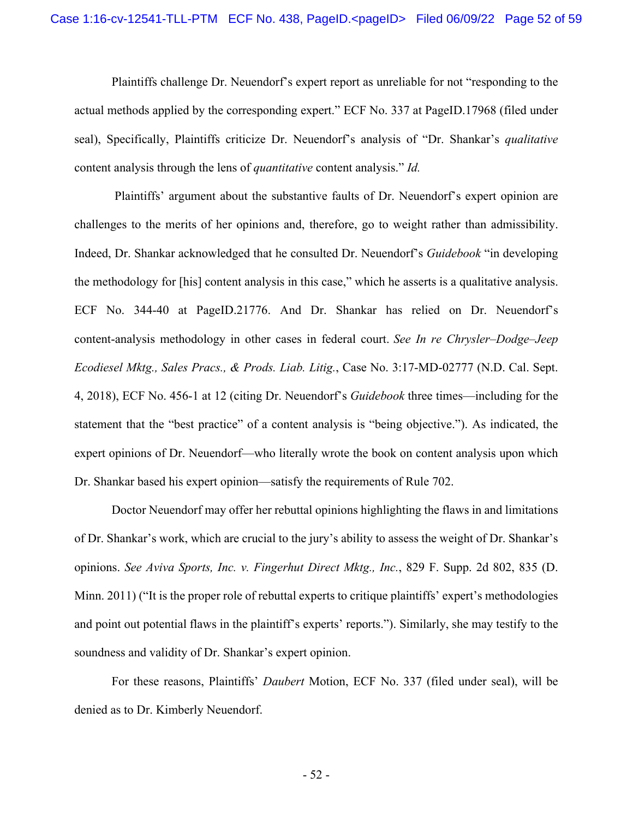Plaintiffs challenge Dr. Neuendorf's expert report as unreliable for not "responding to the actual methods applied by the corresponding expert." ECF No. 337 at PageID.17968 (filed under seal), Specifically, Plaintiffs criticize Dr. Neuendorf's analysis of "Dr. Shankar's *qualitative* content analysis through the lens of *quantitative* content analysis." *Id.*

 Plaintiffs' argument about the substantive faults of Dr. Neuendorf's expert opinion are challenges to the merits of her opinions and, therefore, go to weight rather than admissibility. Indeed, Dr. Shankar acknowledged that he consulted Dr. Neuendorf's *Guidebook* "in developing the methodology for [his] content analysis in this case," which he asserts is a qualitative analysis. ECF No. 344-40 at PageID.21776. And Dr. Shankar has relied on Dr. Neuendorf's content-analysis methodology in other cases in federal court. *See In re Chrysler–Dodge–Jeep Ecodiesel Mktg., Sales Pracs., & Prods. Liab. Litig.*, Case No. 3:17-MD-02777 (N.D. Cal. Sept. 4, 2018), ECF No. 456-1 at 12 (citing Dr. Neuendorf's *Guidebook* three times—including for the statement that the "best practice" of a content analysis is "being objective."). As indicated, the expert opinions of Dr. Neuendorf—who literally wrote the book on content analysis upon which Dr. Shankar based his expert opinion—satisfy the requirements of Rule 702.

Doctor Neuendorf may offer her rebuttal opinions highlighting the flaws in and limitations of Dr. Shankar's work, which are crucial to the jury's ability to assess the weight of Dr. Shankar's opinions. *See Aviva Sports, Inc. v. Fingerhut Direct Mktg., Inc.*, 829 F. Supp. 2d 802, 835 (D. Minn. 2011) ("It is the proper role of rebuttal experts to critique plaintiffs' expert's methodologies and point out potential flaws in the plaintiff's experts' reports."). Similarly, she may testify to the soundness and validity of Dr. Shankar's expert opinion.

For these reasons, Plaintiffs' *Daubert* Motion, ECF No. 337 (filed under seal), will be denied as to Dr. Kimberly Neuendorf.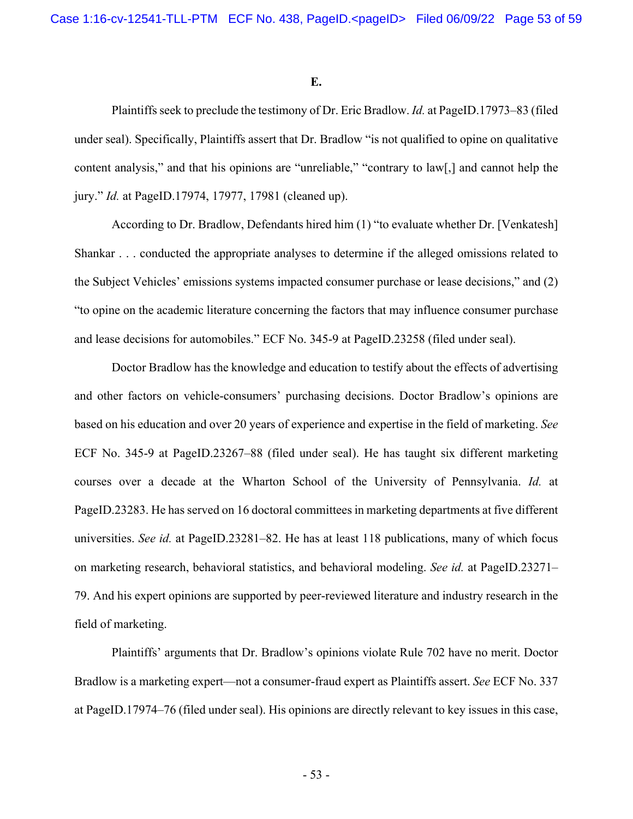**E.** 

Plaintiffs seek to preclude the testimony of Dr. Eric Bradlow. *Id.* at PageID.17973–83 (filed under seal). Specifically, Plaintiffs assert that Dr. Bradlow "is not qualified to opine on qualitative content analysis," and that his opinions are "unreliable," "contrary to law[,] and cannot help the jury." *Id.* at PageID.17974, 17977, 17981 (cleaned up).

According to Dr. Bradlow, Defendants hired him (1) "to evaluate whether Dr. [Venkatesh] Shankar . . . conducted the appropriate analyses to determine if the alleged omissions related to the Subject Vehicles' emissions systems impacted consumer purchase or lease decisions," and (2) "to opine on the academic literature concerning the factors that may influence consumer purchase and lease decisions for automobiles." ECF No. 345-9 at PageID.23258 (filed under seal).

Doctor Bradlow has the knowledge and education to testify about the effects of advertising and other factors on vehicle-consumers' purchasing decisions. Doctor Bradlow's opinions are based on his education and over 20 years of experience and expertise in the field of marketing. *See* ECF No. 345-9 at PageID.23267–88 (filed under seal). He has taught six different marketing courses over a decade at the Wharton School of the University of Pennsylvania. *Id.* at PageID.23283. He has served on 16 doctoral committees in marketing departments at five different universities. *See id.* at PageID.23281–82. He has at least 118 publications, many of which focus on marketing research, behavioral statistics, and behavioral modeling. *See id.* at PageID.23271– 79. And his expert opinions are supported by peer-reviewed literature and industry research in the field of marketing.

Plaintiffs' arguments that Dr. Bradlow's opinions violate Rule 702 have no merit. Doctor Bradlow is a marketing expert—not a consumer-fraud expert as Plaintiffs assert. *See* ECF No. 337 at PageID.17974–76 (filed under seal). His opinions are directly relevant to key issues in this case,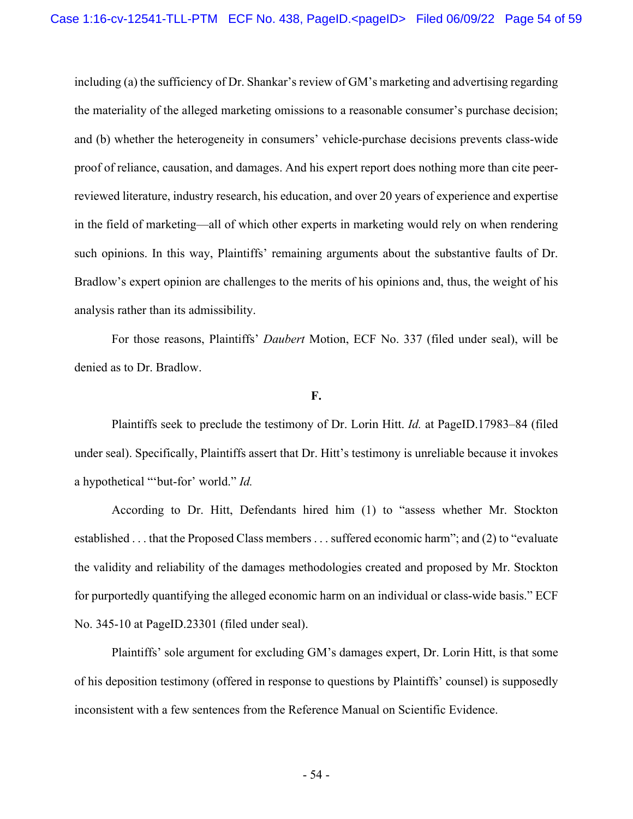including (a) the sufficiency of Dr. Shankar's review of GM's marketing and advertising regarding the materiality of the alleged marketing omissions to a reasonable consumer's purchase decision; and (b) whether the heterogeneity in consumers' vehicle-purchase decisions prevents class-wide proof of reliance, causation, and damages. And his expert report does nothing more than cite peerreviewed literature, industry research, his education, and over 20 years of experience and expertise in the field of marketing—all of which other experts in marketing would rely on when rendering such opinions. In this way, Plaintiffs' remaining arguments about the substantive faults of Dr. Bradlow's expert opinion are challenges to the merits of his opinions and, thus, the weight of his analysis rather than its admissibility.

For those reasons, Plaintiffs' *Daubert* Motion, ECF No. 337 (filed under seal), will be denied as to Dr. Bradlow.

#### **F.**

Plaintiffs seek to preclude the testimony of Dr. Lorin Hitt. *Id.* at PageID.17983–84 (filed under seal). Specifically, Plaintiffs assert that Dr. Hitt's testimony is unreliable because it invokes a hypothetical "'but-for' world." *Id.*

According to Dr. Hitt, Defendants hired him (1) to "assess whether Mr. Stockton established . . . that the Proposed Class members . . . suffered economic harm"; and (2) to "evaluate the validity and reliability of the damages methodologies created and proposed by Mr. Stockton for purportedly quantifying the alleged economic harm on an individual or class-wide basis." ECF No. 345-10 at PageID.23301 (filed under seal).

Plaintiffs' sole argument for excluding GM's damages expert, Dr. Lorin Hitt, is that some of his deposition testimony (offered in response to questions by Plaintiffs' counsel) is supposedly inconsistent with a few sentences from the Reference Manual on Scientific Evidence.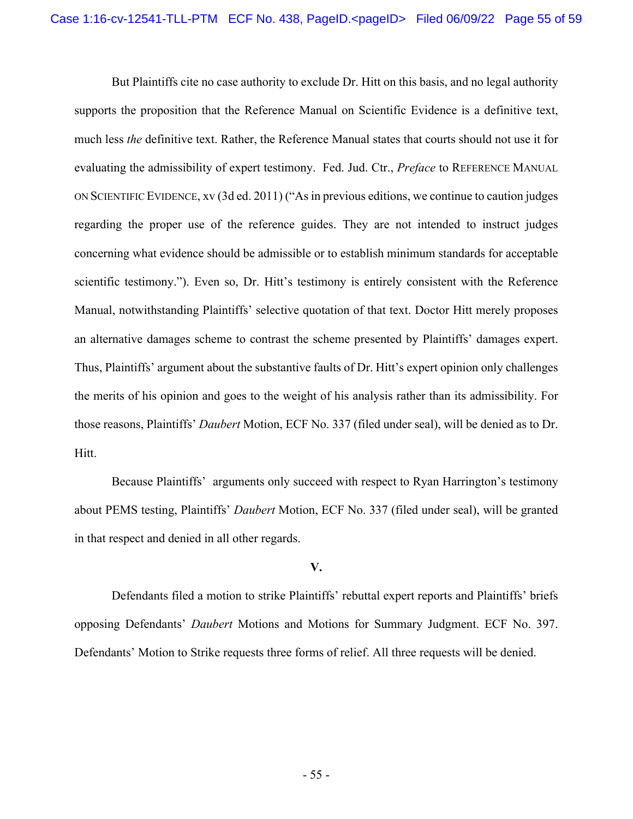But Plaintiffs cite no case authority to exclude Dr. Hitt on this basis, and no legal authority supports the proposition that the Reference Manual on Scientific Evidence is a definitive text, much less *the* definitive text. Rather, the Reference Manual states that courts should not use it for evaluating the admissibility of expert testimony. Fed. Jud. Ctr., *Preface* to REFERENCE MANUAL ON SCIENTIFIC EVIDENCE, xv (3d ed. 2011) ("As in previous editions, we continue to caution judges regarding the proper use of the reference guides. They are not intended to instruct judges concerning what evidence should be admissible or to establish minimum standards for acceptable scientific testimony."). Even so, Dr. Hitt's testimony is entirely consistent with the Reference Manual, notwithstanding Plaintiffs' selective quotation of that text. Doctor Hitt merely proposes an alternative damages scheme to contrast the scheme presented by Plaintiffs' damages expert. Thus, Plaintiffs' argument about the substantive faults of Dr. Hitt's expert opinion only challenges the merits of his opinion and goes to the weight of his analysis rather than its admissibility. For those reasons, Plaintiffs' *Daubert* Motion, ECF No. 337 (filed under seal), will be denied as to Dr. Hitt.

Because Plaintiffs' arguments only succeed with respect to Ryan Harrington's testimony about PEMS testing, Plaintiffs' *Daubert* Motion, ECF No. 337 (filed under seal), will be granted in that respect and denied in all other regards.

## **V.**

Defendants filed a motion to strike Plaintiffs' rebuttal expert reports and Plaintiffs' briefs opposing Defendants' *Daubert* Motions and Motions for Summary Judgment. ECF No. 397. Defendants' Motion to Strike requests three forms of relief. All three requests will be denied.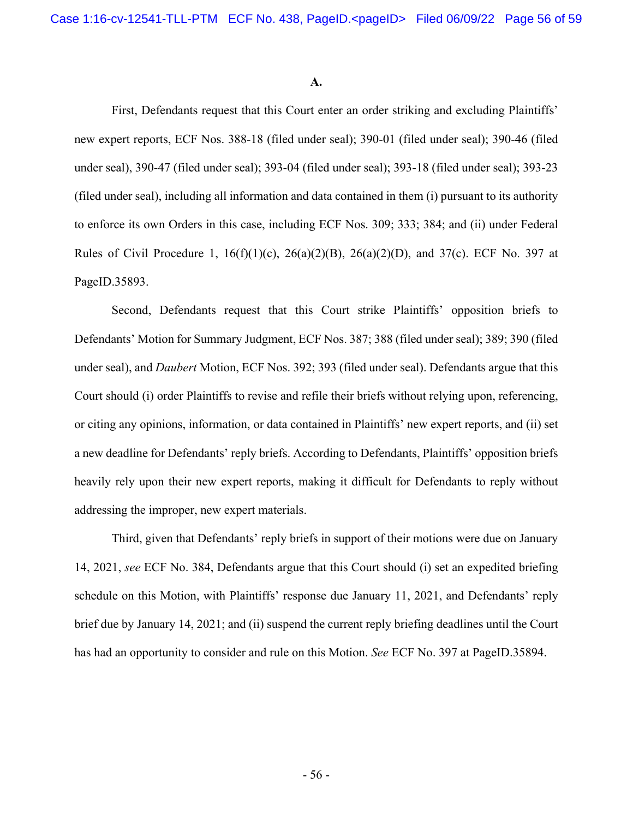#### **A.**

First, Defendants request that this Court enter an order striking and excluding Plaintiffs' new expert reports, ECF Nos. 388-18 (filed under seal); 390-01 (filed under seal); 390-46 (filed under seal), 390-47 (filed under seal); 393-04 (filed under seal); 393-18 (filed under seal); 393-23 (filed under seal), including all information and data contained in them (i) pursuant to its authority to enforce its own Orders in this case, including ECF Nos. 309; 333; 384; and (ii) under Federal Rules of Civil Procedure 1,  $16(f)(1)(c)$ ,  $26(a)(2)(B)$ ,  $26(a)(2)(D)$ , and  $37(c)$ . ECF No. 397 at PageID.35893.

Second, Defendants request that this Court strike Plaintiffs' opposition briefs to Defendants' Motion for Summary Judgment, ECF Nos. 387; 388 (filed under seal); 389; 390 (filed under seal), and *Daubert* Motion, ECF Nos. 392; 393 (filed under seal). Defendants argue that this Court should (i) order Plaintiffs to revise and refile their briefs without relying upon, referencing, or citing any opinions, information, or data contained in Plaintiffs' new expert reports, and (ii) set a new deadline for Defendants' reply briefs. According to Defendants, Plaintiffs' opposition briefs heavily rely upon their new expert reports, making it difficult for Defendants to reply without addressing the improper, new expert materials.

Third, given that Defendants' reply briefs in support of their motions were due on January 14, 2021, *see* ECF No. 384, Defendants argue that this Court should (i) set an expedited briefing schedule on this Motion, with Plaintiffs' response due January 11, 2021, and Defendants' reply brief due by January 14, 2021; and (ii) suspend the current reply briefing deadlines until the Court has had an opportunity to consider and rule on this Motion. *See* ECF No. 397 at PageID.35894.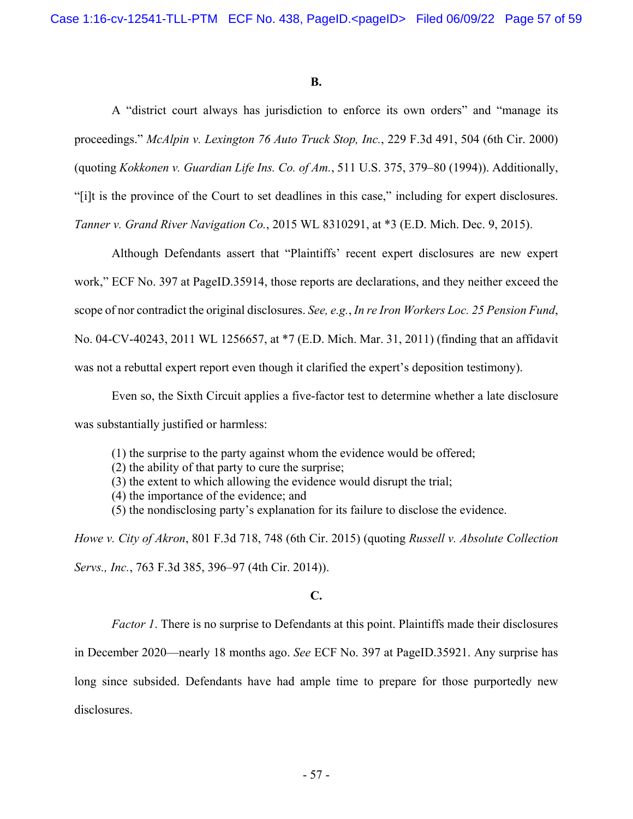#### **B.**

 A "district court always has jurisdiction to enforce its own orders" and "manage its proceedings." *McAlpin v. Lexington 76 Auto Truck Stop, Inc.*, 229 F.3d 491, 504 (6th Cir. 2000) (quoting *Kokkonen v. Guardian Life Ins. Co. of Am.*, 511 U.S. 375, 379–80 (1994)). Additionally, "[i]t is the province of the Court to set deadlines in this case," including for expert disclosures.

*Tanner v. Grand River Navigation Co.*, 2015 WL 8310291, at \*3 (E.D. Mich. Dec. 9, 2015).

 Although Defendants assert that "Plaintiffs' recent expert disclosures are new expert work," ECF No. 397 at PageID.35914, those reports are declarations, and they neither exceed the scope of nor contradict the original disclosures. *See, e.g.*, *In re Iron Workers Loc. 25 Pension Fund*, No. 04-CV-40243, 2011 WL 1256657, at \*7 (E.D. Mich. Mar. 31, 2011) (finding that an affidavit was not a rebuttal expert report even though it clarified the expert's deposition testimony).

Even so, the Sixth Circuit applies a five-factor test to determine whether a late disclosure was substantially justified or harmless:

(1) the surprise to the party against whom the evidence would be offered;

- (2) the ability of that party to cure the surprise;
- (3) the extent to which allowing the evidence would disrupt the trial;
- (4) the importance of the evidence; and
- (5) the nondisclosing party's explanation for its failure to disclose the evidence.

*Howe v. City of Akron*, 801 F.3d 718, 748 (6th Cir. 2015) (quoting *Russell v. Absolute Collection Servs., Inc.*, 763 F.3d 385, 396–97 (4th Cir. 2014)).

# **C.**

*Factor 1*. There is no surprise to Defendants at this point. Plaintiffs made their disclosures

in December 2020—nearly 18 months ago. *See* ECF No. 397 at PageID.35921. Any surprise has

long since subsided. Defendants have had ample time to prepare for those purportedly new disclosures.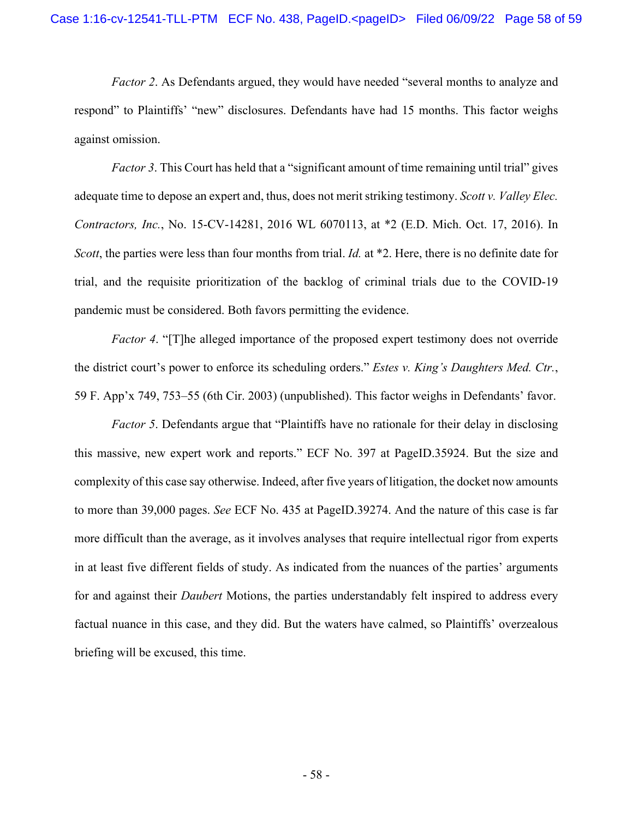*Factor 2.* As Defendants argued, they would have needed "several months to analyze and respond" to Plaintiffs' "new" disclosures. Defendants have had 15 months. This factor weighs against omission.

*Factor 3*. This Court has held that a "significant amount of time remaining until trial" gives adequate time to depose an expert and, thus, does not merit striking testimony. *Scott v. Valley Elec. Contractors, Inc.*, No. 15-CV-14281, 2016 WL 6070113, at \*2 (E.D. Mich. Oct. 17, 2016). In *Scott*, the parties were less than four months from trial. *Id.* at \*2. Here, there is no definite date for trial, and the requisite prioritization of the backlog of criminal trials due to the COVID-19 pandemic must be considered. Both favors permitting the evidence.

*Factor 4*. "[T]he alleged importance of the proposed expert testimony does not override the district court's power to enforce its scheduling orders." *Estes v. King's Daughters Med. Ctr.*, 59 F. App'x 749, 753–55 (6th Cir. 2003) (unpublished). This factor weighs in Defendants' favor.

*Factor 5*. Defendants argue that "Plaintiffs have no rationale for their delay in disclosing this massive, new expert work and reports." ECF No. 397 at PageID.35924. But the size and complexity of this case say otherwise. Indeed, after five years of litigation, the docket now amounts to more than 39,000 pages. *See* ECF No. 435 at PageID.39274. And the nature of this case is far more difficult than the average, as it involves analyses that require intellectual rigor from experts in at least five different fields of study. As indicated from the nuances of the parties' arguments for and against their *Daubert* Motions, the parties understandably felt inspired to address every factual nuance in this case, and they did. But the waters have calmed, so Plaintiffs' overzealous briefing will be excused, this time.